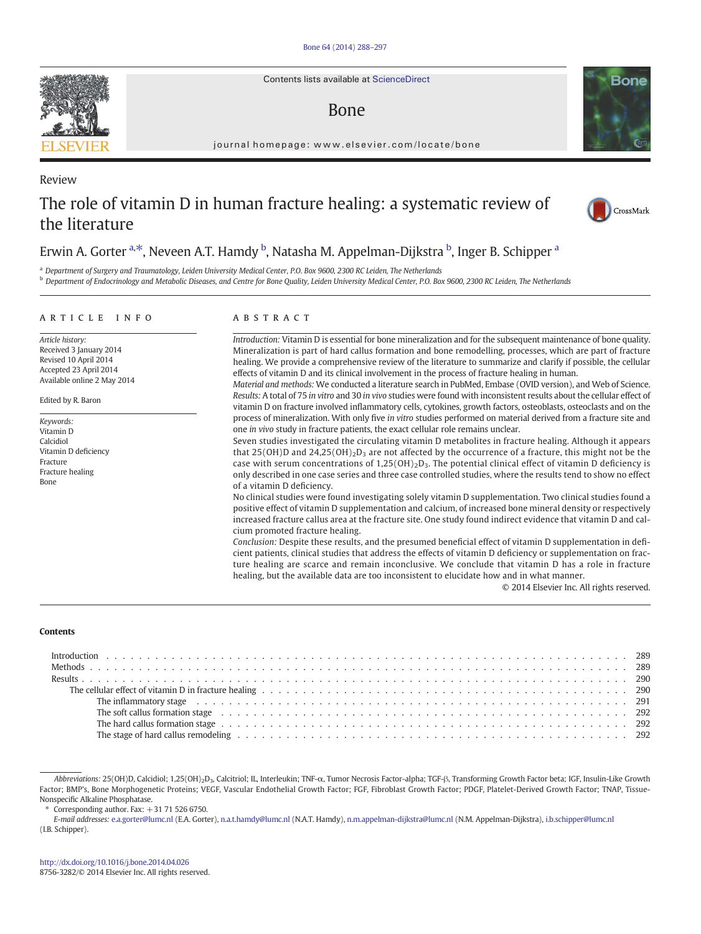Contents lists available at ScienceDirect

# Bone

journal homepage: www.elsevier.com/locate/bone

# The role of vitamin D in human fracture healing: a systematic review of the literature



<sup>a</sup> Department of Surgery and Traumatology, Leiden University Medical Center, P.O. Box 9600, 2300 RC Leiden, The Netherlands

<sup>b</sup> Department of Endocrinology and Metabolic Diseases, and Centre for Bone Quality, Leiden University Medical Center, P.O. Box 9600, 2300 RC Leiden, The Netherlands

### article info abstract

Article history: Received 3 January 2014 Revised 10 April 2014 Accepted 23 April 2014 Available online 2 May 2014

Edited by R. Baron

Keywords: Vitamin D Calcidiol Vitamin D deficiency Fracture Fracture healing Bone

Introduction: Vitamin D is essential for bone mineralization and for the subsequent maintenance of bone quality. Mineralization is part of hard callus formation and bone remodelling, processes, which are part of fracture healing. We provide a comprehensive review of the literature to summarize and clarify if possible, the cellular effects of vitamin D and its clinical involvement in the process of fracture healing in human.

Material and methods: We conducted a literature search in PubMed, Embase (OVID version), and Web of Science. Results: A total of 75 in vitro and 30 in vivo studies were found with inconsistent results about the cellular effect of vitamin D on fracture involved inflammatory cells, cytokines, growth factors, osteoblasts, osteoclasts and on the process of mineralization. With only five in vitro studies performed on material derived from a fracture site and one in vivo study in fracture patients, the exact cellular role remains unclear.

Seven studies investigated the circulating vitamin D metabolites in fracture healing. Although it appears that 25(OH)D and 24,25(OH)<sub>2</sub>D<sub>3</sub> are not affected by the occurrence of a fracture, this might not be the case with serum concentrations of  $1,25(OH)_2D_3$ . The potential clinical effect of vitamin D deficiency is only described in one case series and three case controlled studies, where the results tend to show no effect of a vitamin D deficiency.

No clinical studies were found investigating solely vitamin D supplementation. Two clinical studies found a positive effect of vitamin D supplementation and calcium, of increased bone mineral density or respectively increased fracture callus area at the fracture site. One study found indirect evidence that vitamin D and calcium promoted fracture healing.

Conclusion: Despite these results, and the presumed beneficial effect of vitamin D supplementation in deficient patients, clinical studies that address the effects of vitamin D deficiency or supplementation on fracture healing are scarce and remain inconclusive. We conclude that vitamin D has a role in fracture healing, but the available data are too inconsistent to elucidate how and in what manner.

© 2014 Elsevier Inc. All rights reserved.

#### **Contents**

Abbreviations: 25(OH)D, Calcidiol; 1,25(OH)<sub>2</sub>D<sub>3</sub>, Calcitriol; IL, Interleukin; TNF-α, Tumor Necrosis Factor-alpha; TGF-β, Transforming Growth Factor beta; IGF, Insulin-Like Growth Factor; BMP's, Bone Morphogenetic Proteins; VEGF, Vascular Endothelial Growth Factor; FGF, Fibroblast Growth Factor; PDGF, Platelet-Derived Growth Factor; TNAP, Tissue-Nonspecific Alkaline Phosphatase.

Corresponding author. Fax:  $+31$  71 526 6750.

E-mail addresses: [e.a.gorter@lumc.nl](mailto:e.a.gorter@lumc.nl) (E.A. Gorter), [n.a.t.hamdy@lumc.nl](mailto:n.a.t.hamdy@lumc.nl) (N.A.T. Hamdy), [n.m.appelman-dijkstra@lumc.nl](mailto:n.m.appelman-dijkstra@lumc.nl) (N.M. Appelman-Dijkstra), [i.b.schipper@lumc.nl](mailto:i.b.schipper@lumc.nl) (I.B. Schipper).



Review



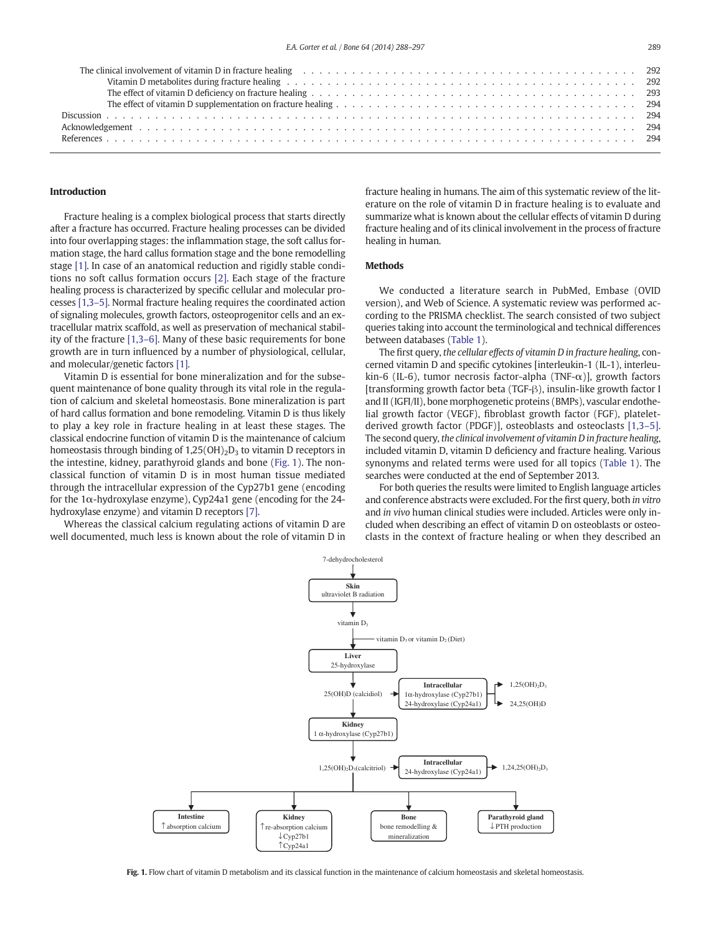#### Introduction

Fracture healing is a complex biological process that starts directly after a fracture has occurred. Fracture healing processes can be divided into four overlapping stages: the inflammation stage, the soft callus formation stage, the hard callus formation stage and the bone remodelling stage [\[1\].](#page-6-0) In case of an anatomical reduction and rigidly stable conditions no soft callus formation occurs [\[2\].](#page-6-0) Each stage of the fracture healing process is characterized by specific cellular and molecular processes [\[1,3](#page-6-0)–5]. Normal fracture healing requires the coordinated action of signaling molecules, growth factors, osteoprogenitor cells and an extracellular matrix scaffold, as well as preservation of mechanical stability of the fracture [\[1,3](#page-6-0)–6]. Many of these basic requirements for bone growth are in turn influenced by a number of physiological, cellular, and molecular/genetic factors [\[1\].](#page-6-0)

Vitamin D is essential for bone mineralization and for the subsequent maintenance of bone quality through its vital role in the regulation of calcium and skeletal homeostasis. Bone mineralization is part of hard callus formation and bone remodeling. Vitamin D is thus likely to play a key role in fracture healing in at least these stages. The classical endocrine function of vitamin D is the maintenance of calcium homeostasis through binding of  $1,25(OH)_2D_3$  to vitamin D receptors in the intestine, kidney, parathyroid glands and bone (Fig. 1). The nonclassical function of vitamin D is in most human tissue mediated through the intracellular expression of the Cyp27b1 gene (encoding for the 1α-hydroxylase enzyme), Cyp24a1 gene (encoding for the 24 hydroxylase enzyme) and vitamin D receptors [\[7\]](#page-6-0).

Whereas the classical calcium regulating actions of vitamin D are well documented, much less is known about the role of vitamin D in fracture healing in humans. The aim of this systematic review of the literature on the role of vitamin D in fracture healing is to evaluate and summarize what is known about the cellular effects of vitamin D during fracture healing and of its clinical involvement in the process of fracture healing in human.

## **Methods**

We conducted a literature search in PubMed, Embase (OVID version), and Web of Science. A systematic review was performed according to the PRISMA checklist. The search consisted of two subject queries taking into account the terminological and technical differences between databases ([Table 1](#page-2-0)).

The first query, the cellular effects of vitamin D in fracture healing, concerned vitamin D and specific cytokines [interleukin-1 (IL-1), interleukin-6 (IL-6), tumor necrosis factor-alpha (TNF- $\alpha$ ), growth factors [transforming growth factor beta (TGF-β), insulin-like growth factor I and II (IGFI/II), bone morphogenetic proteins (BMPs), vascular endothelial growth factor (VEGF), fibroblast growth factor (FGF), plateletderived growth factor (PDGF)], osteoblasts and osteoclasts [\[1,3](#page-6-0)–5]. The second query, the clinical involvement of vitamin D in fracture healing, included vitamin D, vitamin D deficiency and fracture healing. Various synonyms and related terms were used for all topics [\(Table 1](#page-2-0)). The searches were conducted at the end of September 2013.

For both queries the results were limited to English language articles and conference abstracts were excluded. For the first query, both in vitro and in vivo human clinical studies were included. Articles were only included when describing an effect of vitamin D on osteoblasts or osteoclasts in the context of fracture healing or when they described an



Fig. 1. Flow chart of vitamin D metabolism and its classical function in the maintenance of calcium homeostasis and skeletal homeostasis.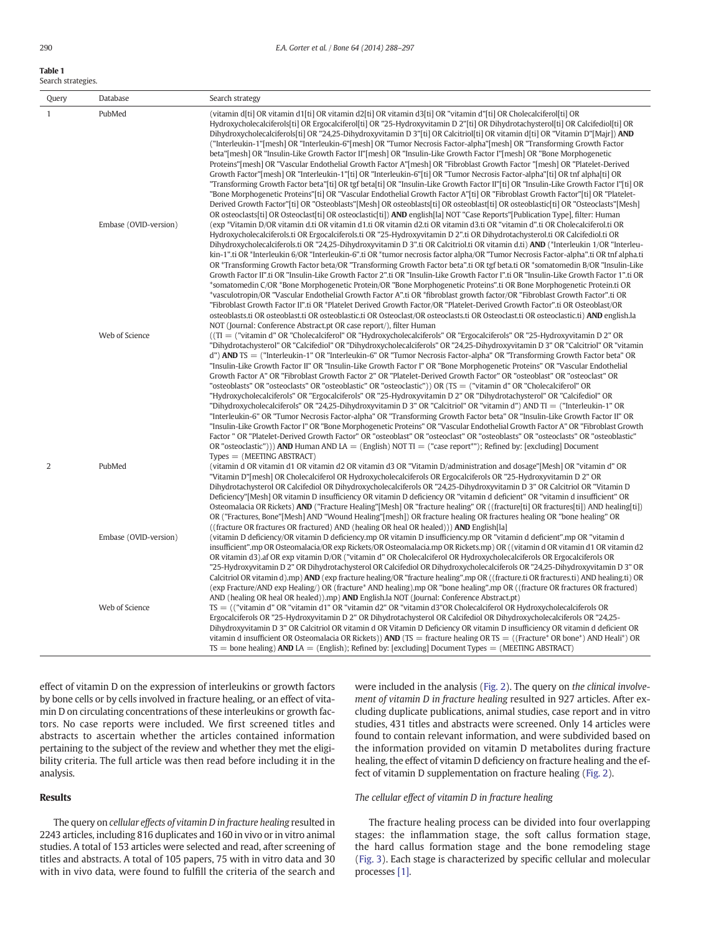<span id="page-2-0"></span>

| <b>Table 1</b>     |
|--------------------|
| Search strategies. |

| Query        | Database              | Search strategy                                                                                                                                                                                                                                                                                                                                                                                                                                                                                                                                                                                                                                                                                                                                                                                                                                                                                                                                                                                                                                                                                                                                                                                                                                                                                                                                                                                                                                                                                                                                                                       |
|--------------|-----------------------|---------------------------------------------------------------------------------------------------------------------------------------------------------------------------------------------------------------------------------------------------------------------------------------------------------------------------------------------------------------------------------------------------------------------------------------------------------------------------------------------------------------------------------------------------------------------------------------------------------------------------------------------------------------------------------------------------------------------------------------------------------------------------------------------------------------------------------------------------------------------------------------------------------------------------------------------------------------------------------------------------------------------------------------------------------------------------------------------------------------------------------------------------------------------------------------------------------------------------------------------------------------------------------------------------------------------------------------------------------------------------------------------------------------------------------------------------------------------------------------------------------------------------------------------------------------------------------------|
| $\mathbf{1}$ | PubMed                | (vitamin d[ti] OR vitamin d1[ti] OR vitamin d2[ti] OR vitamin d3[ti] OR "vitamin d"[ti] OR Cholecalciferol[ti] OR<br>Hydroxycholecalciferols[ti] OR Ergocalciferol[ti] OR "25-Hydroxyvitamin D 2"[ti] OR Dihydrotachysterol[ti] OR Calcifediol[ti] OR<br>Dihydroxycholecalciferols[ti] OR "24,25-Dihydroxyvitamin D 3"[ti] OR Calcitriol[ti] OR vitamin d[ti] OR "Vitamin D"[Majr]) <b>AND</b><br>("Interleukin-1" [mesh] OR "Interleukin-6" [mesh] OR "Tumor Necrosis Factor-alpha" [mesh] OR "Transforming Growth Factor<br>beta"[mesh] OR "Insulin-Like Growth Factor II"[mesh] OR "Insulin-Like Growth Factor I"[mesh] OR "Bone Morphogenetic<br>Proteins"[mesh] OR "Vascular Endothelial Growth Factor A"[mesh] OR "Fibroblast Growth Factor "[mesh] OR "Platelet-Derived<br>Growth Factor"[mesh] OR "Interleukin-1"[ti] OR "Interleukin-6"[ti] OR "Tumor Necrosis Factor-alpha"[ti] OR tnf alpha[ti] OR<br>"Transforming Growth Factor beta"[ti] OR tgf beta[ti] OR "Insulin-Like Growth Factor II"[ti] OR "Insulin-Like Growth Factor I"[ti] OR<br>"Bone Morphogenetic Proteins"[ti] OR "Vascular Endothelial Growth Factor A"[ti] OR "Fibroblast Growth Factor"[ti] OR "Platelet-<br>Derived Growth Factor"[ti] OR "Osteoblasts"[Mesh] OR osteoblasts[ti] OR osteoblast[ti] OR osteoblastic[ti] OR "Osteoclasts"[Mesh]<br>OR osteoclasts[ti] OR Osteoclast[ti] OR osteoclastic[ti]) <b>AND</b> english[la] NOT "Case Reports"[Publication Type], filter: Human                                                                                                                |
|              | Embase (OVID-version) | (exp *Vitamin D/OR vitamin d.ti OR vitamin d1.ti OR vitamin d2.ti OR vitamin d3.ti OR "vitamin d".ti OR Cholecalciferol.ti OR<br>Hydroxycholecalciferols.ti OR Ergocalciferols.ti OR "25-Hydroxyvitamin D 2".ti OR Dihydrotachysterol.ti OR Calcifediol.ti OR<br>Dihydroxycholecalciferols.ti OR "24,25-Dihydroxyvitamin D 3".ti OR Calcitriol.ti OR vitamin d.ti) AND (*Interleukin 1/OR "Interleu-<br>kin-1".ti OR *Interleukin 6/OR "Interleukin-6".ti OR *tumor necrosis factor alpha/OR "Tumor Necrosis Factor-alpha".ti OR tnf alpha.ti<br>OR *Transforming Growth Factor beta/OR "Transforming Growth Factor beta".ti OR tgf beta.ti OR *somatomedin B/OR "Insulin-Like<br>Growth Factor II".ti OR "Insulin-Like Growth Factor 2".ti OR "Insulin-Like Growth Factor I".ti OR "Insulin-Like Growth Factor 1".ti OR<br>*somatomedin C/OR *Bone Morphogenetic Protein/OR "Bone Morphogenetic Proteins".ti OR Bone Morphogenetic Protein.ti OR<br>*vasculotropin/OR "Vascular Endothelial Growth Factor A".ti OR *fibroblast growth factor/OR "Fibroblast Growth Factor".ti OR<br>"Fibroblast Growth Factor II".ti OR *Platelet Derived Growth Factor/OR "Platelet-Derived Growth Factor".ti OR Osteoblast/OR<br>osteoblasts.ti OR osteoblast.ti OR osteoblastic.ti OR Osteoclast/OR osteoclasts.ti OR Osteoclast.ti OR osteoclastic.ti) AND english.la<br>NOT (Journal: Conference Abstract.pt OR case report/), filter Human                                                                                                                                                     |
|              | Web of Science        | ((TI = ("vitamin d" OR "Cholecalciferol" OR "Hydroxycholecalciferols" OR "Ergocalciferols" OR "25-Hydroxyvitamin D 2" OR<br>"Dihydrotachysterol" OR "Calcifediol" OR "Dihydroxycholecalciferols" OR "24,25-Dihydroxyvitamin D 3" OR "Calcitriol" OR "vitamin<br>d") AND TS = ("Interleukin-1" OR "Interleukin-6" OR "Tumor Necrosis Factor-alpha" OR "Transforming Growth Factor beta" OR<br>"Insulin-Like Growth Factor II" OR "Insulin-Like Growth Factor I" OR "Bone Morphogenetic Proteins" OR "Vascular Endothelial<br>Growth Factor A" OR "Fibroblast Growth Factor 2" OR "Platelet-Derived Growth Factor" OR "osteoblast" OR "osteoclast" OR<br>"osteoblasts" OR "osteoclasts" OR "osteoblastic" OR "osteoclastic")) OR (TS = ("vitamin d" OR "Cholecalciferol" OR<br>"Hydroxycholecalciferols" OR "Ergocalciferols" OR "25-Hydroxyvitamin D 2" OR "Dihydrotachysterol" OR "Calcifediol" OR<br>"Dihydroxycholecalciferols" OR "24,25-Dihydroxyvitamin D 3" OR "Calcitriol" OR "vitamin d") AND TI = ("Interleukin-1" OR<br>"Interleukin-6" OR "Tumor Necrosis Factor-alpha" OR "Transforming Growth Factor beta" OR "Insulin-Like Growth Factor II" OR<br>"Insulin-Like Growth Factor I" OR "Bone Morphogenetic Proteins" OR "Vascular Endothelial Growth Factor A" OR "Fibroblast Growth<br>Factor " OR "Platelet-Derived Growth Factor" OR "osteoblast" OR "osteoclast" OR "osteoblasts" OR "osteoclasts" OR "osteoblastic"<br>OR "osteoclastic"))) AND Human AND LA = (English) NOT TI = ("case report*"); Refined by: [excluding] Document<br>$Types = (MEETING ABSTRACT)$ |
| 2            | PubMed                | (vitamin d OR vitamin d1 OR vitamin d2 OR vitamin d3 OR "Vitamin D/administration and dosage"[Mesh] OR "vitamin d" OR<br>"Vitamin D" [mesh] OR Cholecalciferol OR Hydroxycholecalciferols OR Ergocalciferols OR "25-Hydroxyvitamin D 2" OR<br>Dihydrotachysterol OR Calcifediol OR Dihydroxycholecalciferols OR "24,25-Dihydroxyvitamin D 3" OR Calcitriol OR "Vitamin D<br>Deficiency"[Mesh] OR vitamin D insufficiency OR vitamin D deficiency OR "vitamin d deficient" OR "vitamin d insufficient" OR<br>Osteomalacia OR Rickets) AND ("Fracture Healing"[Mesh] OR "fracture healing" OR ((fracture[ti] OR fractures[ti]) AND healing[ti])<br>OR ("Fractures, Bone"[Mesh] AND "Wound Healing"[mesh]) OR fracture healing OR fractures healing OR "bone healing" OR<br>((fracture OR fractures OR fractured) AND (healing OR heal OR healed))) <b>AND</b> English[la]                                                                                                                                                                                                                                                                                                                                                                                                                                                                                                                                                                                                                                                                                                               |
|              | Embase (OVID-version) | (vitamin D deficiency/OR vitamin D deficiency.mp OR vitamin D insufficiency.mp OR "vitamin d deficient".mp OR "vitamin d<br>insufficient".mp OR Osteomalacia/OR exp Rickets/OR Osteomalacia.mp OR Rickets.mp) OR ((vitamin d OR vitamin d1 OR vitamin d2<br>OR vitamin d3).af OR exp vitamin D/OR ("vitamin d" OR Cholecalciferol OR Hydroxycholecalciferols OR Ergocalciferols OR<br>"25-Hydroxyvitamin D 2" OR Dihydrotachysterol OR Calcifediol OR Dihydroxycholecalciferols OR "24,25-Dihydroxyvitamin D 3" OR<br>Calcitriol OR vitamin d).mp) AND (exp fracture healing/OR "fracture healing".mp OR ((fracture.ti OR fractures.ti) AND healing.ti) OR<br>(exp Fracture/AND exp Healing/) OR (fracture* AND healing).mp OR "bone healing".mp OR ((fracture OR fractures OR fractured)<br>AND (healing OR heal OR healed)).mp) AND English.la NOT (Journal: Conference Abstract.pt)                                                                                                                                                                                                                                                                                                                                                                                                                                                                                                                                                                                                                                                                                                |
|              | Web of Science        | $TS =$ (("vitamin d" OR "vitamin d1" OR "vitamin d2" OR "vitamin d3"OR Cholecalciferol OR Hydroxycholecalciferols OR<br>Ergocalciferols OR "25-Hydroxyvitamin D 2" OR Dihydrotachysterol OR Calcifediol OR Dihydroxycholecalciferols OR "24,25-<br>Dihydroxyvitamin D 3" OR Calcitriol OR vitamin d OR Vitamin D Deficiency OR vitamin D insufficiency OR vitamin d deficient OR<br>vitamin d insufficient OR Osteomalacia OR Rickets)) <b>AND</b> (TS = fracture healing OR TS = ((Fracture* OR bone*) AND Heali*) OR<br>$TS =$ bone healing) AND LA = (English); Refined by: [excluding] Document Types = (MEETING ABSTRACT)                                                                                                                                                                                                                                                                                                                                                                                                                                                                                                                                                                                                                                                                                                                                                                                                                                                                                                                                                        |

effect of vitamin D on the expression of interleukins or growth factors by bone cells or by cells involved in fracture healing, or an effect of vitamin D on circulating concentrations of these interleukins or growth factors. No case reports were included. We first screened titles and abstracts to ascertain whether the articles contained information pertaining to the subject of the review and whether they met the eligibility criteria. The full article was then read before including it in the analysis.

# Results

The query on cellular effects of vitamin D in fracture healing resulted in 2243 articles, including 816 duplicates and 160 in vivo or in vitro animal studies. A total of 153 articles were selected and read, after screening of titles and abstracts. A total of 105 papers, 75 with in vitro data and 30 with in vivo data, were found to fulfill the criteria of the search and

were included in the analysis [\(Fig. 2\)](#page-3-0). The query on the clinical involvement of vitamin D in fracture healing resulted in 927 articles. After excluding duplicate publications, animal studies, case report and in vitro studies, 431 titles and abstracts were screened. Only 14 articles were found to contain relevant information, and were subdivided based on the information provided on vitamin D metabolites during fracture healing, the effect of vitamin D deficiency on fracture healing and the effect of vitamin D supplementation on fracture healing [\(Fig. 2\)](#page-3-0).

# The cellular effect of vitamin D in fracture healing

The fracture healing process can be divided into four overlapping stages: the inflammation stage, the soft callus formation stage, the hard callus formation stage and the bone remodeling stage [\(Fig. 3](#page-3-0)). Each stage is characterized by specific cellular and molecular processes [\[1\].](#page-6-0)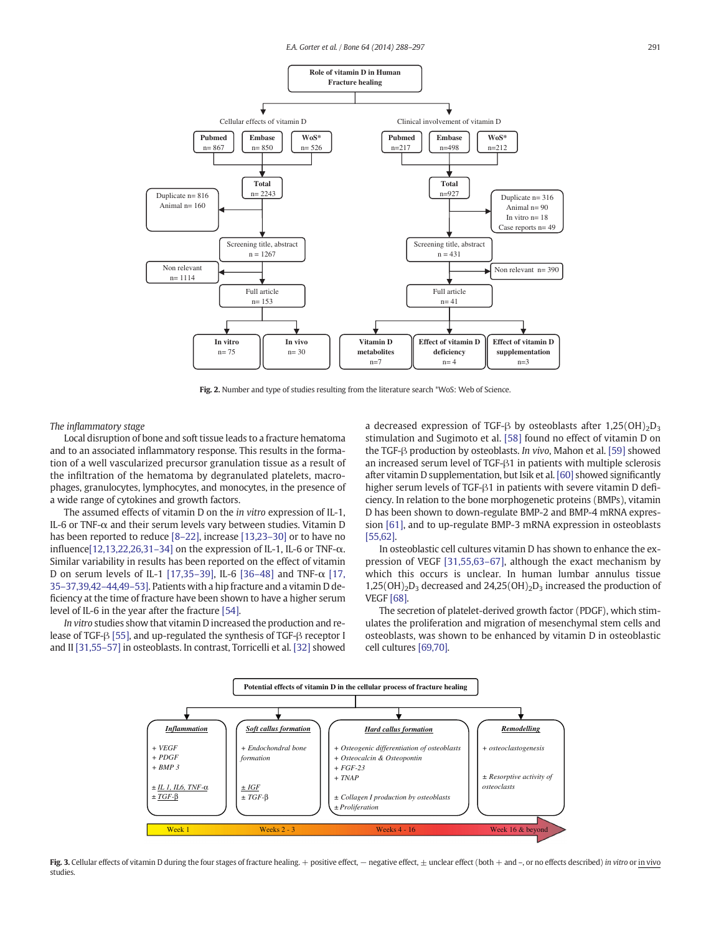<span id="page-3-0"></span>

Fig. 2. Number and type of studies resulting from the literature search \*WoS: Web of Science.

The inflammatory stage

Local disruption of bone and soft tissue leads to a fracture hematoma and to an associated inflammatory response. This results in the formation of a well vascularized precursor granulation tissue as a result of the infiltration of the hematoma by degranulated platelets, macrophages, granulocytes, lymphocytes, and monocytes, in the presence of a wide range of cytokines and growth factors.

The assumed effects of vitamin D on the in vitro expression of IL-1, IL-6 or TNF- $\alpha$  and their serum levels vary between studies. Vitamin D has been reported to reduce [8-[22\]](#page-6-0), increase [\[13,23](#page-7-0)-30] or to have no influence[\[12,13,22,26,31](#page-7-0)–34] on the expression of IL-1, IL-6 or TNF-α. Similar variability in results has been reported on the effect of vitamin D on serum levels of IL-1 [\[17,35](#page-7-0)–39], IL-6 [\[36](#page-7-0)–48] and TNF-α [\[17,](#page-7-0) 35–[37,39,42](#page-7-0)–44,49–53]. Patients with a hip fracture and a vitamin D deficiency at the time of fracture have been shown to have a higher serum level of IL-6 in the year after the fracture [\[54\].](#page-7-0)

In vitro studies show that vitamin D increased the production and release of TGF-β [\[55\],](#page-7-0) and up-regulated the synthesis of TGF-β receptor I and II [\[31,55](#page-7-0)–57] in osteoblasts. In contrast, Torricelli et al. [\[32\]](#page-7-0) showed a decreased expression of TGF- $\beta$  by osteoblasts after 1,25(OH)<sub>2</sub>D<sub>3</sub> stimulation and Sugimoto et al. [\[58\]](#page-7-0) found no effect of vitamin D on the TGF-β production by osteoblasts. In vivo, Mahon et al. [\[59\]](#page-7-0) showed an increased serum level of TGF-β1 in patients with multiple sclerosis after vitamin D supplementation, but Isik et al. [\[60\]](#page-7-0) showed significantly higher serum levels of TGF-β1 in patients with severe vitamin D deficiency. In relation to the bone morphogenetic proteins (BMPs), vitamin D has been shown to down-regulate BMP-2 and BMP-4 mRNA expression [\[61\],](#page-7-0) and to up-regulate BMP-3 mRNA expression in osteoblasts [\[55,62\]](#page-7-0).

In osteoblastic cell cultures vitamin D has shown to enhance the expression of VEGF [\[31,55,63](#page-7-0)–67], although the exact mechanism by which this occurs is unclear. In human lumbar annulus tissue  $1,25(OH)<sub>2</sub>D<sub>3</sub>$  decreased and  $24,25(OH)<sub>2</sub>D<sub>3</sub>$  increased the production of VEGF [\[68\].](#page-8-0)

The secretion of platelet-derived growth factor (PDGF), which stimulates the proliferation and migration of mesenchymal stem cells and osteoblasts, was shown to be enhanced by vitamin D in osteoblastic cell cultures [\[69,70\]](#page-8-0).



Fig. 3. Cellular effects of vitamin D during the four stages of fracture healing. + positive effect, − negative effect, ± unclear effect (both + and -, or no effects described) in vitro or in vivo studies.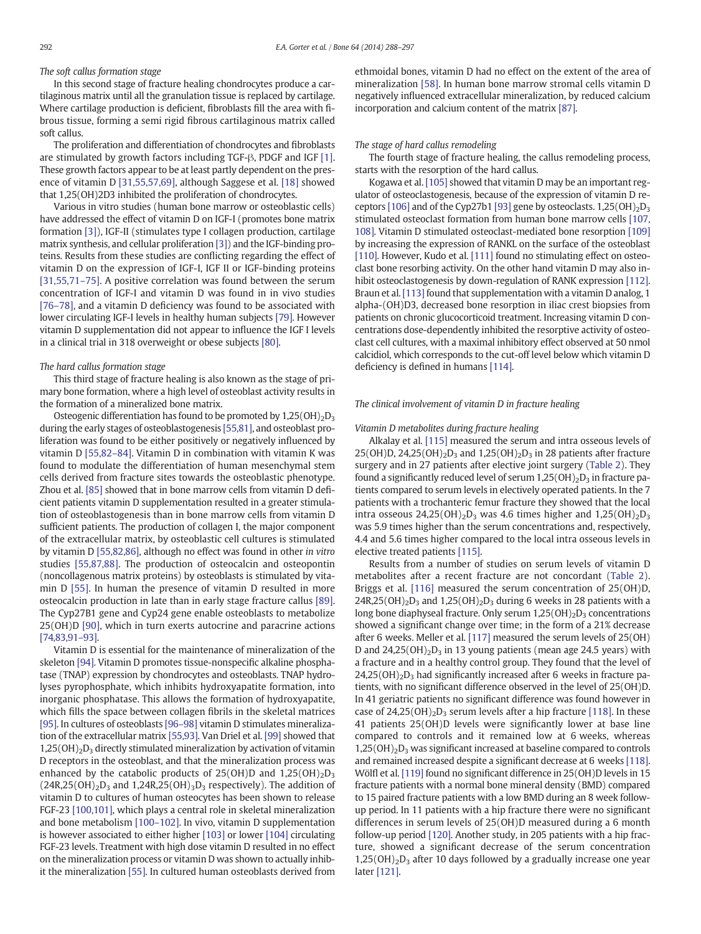# The soft callus formation stage

In this second stage of fracture healing chondrocytes produce a cartilaginous matrix until all the granulation tissue is replaced by cartilage. Where cartilage production is deficient, fibroblasts fill the area with fibrous tissue, forming a semi rigid fibrous cartilaginous matrix called soft callus.

The proliferation and differentiation of chondrocytes and fibroblasts are stimulated by growth factors including TGF-β, PDGF and IGF [\[1\].](#page-6-0) These growth factors appear to be at least partly dependent on the presence of vitamin D [\[31,55,57,69\],](#page-7-0) although Saggese et al. [\[18\]](#page-7-0) showed that 1,25(OH)2D3 inhibited the proliferation of chondrocytes.

Various in vitro studies (human bone marrow or osteoblastic cells) have addressed the effect of vitamin D on IGF-I (promotes bone matrix formation [\[3\]](#page-6-0)), IGF-II (stimulates type I collagen production, cartilage matrix synthesis, and cellular proliferation [\[3\]](#page-6-0)) and the IGF-binding proteins. Results from these studies are conflicting regarding the effect of vitamin D on the expression of IGF-I, IGF II or IGF-binding proteins [\[31,55,71](#page-7-0)–75]. A positive correlation was found between the serum concentration of IGF-I and vitamin D was found in in vivo studies [\[76](#page-8-0)–78], and a vitamin D deficiency was found to be associated with lower circulating IGF-I levels in healthy human subjects [\[79\]](#page-8-0). However vitamin D supplementation did not appear to influence the IGF I levels in a clinical trial in 318 overweight or obese subjects [\[80\].](#page-8-0)

#### The hard callus formation stage

This third stage of fracture healing is also known as the stage of primary bone formation, where a high level of osteoblast activity results in the formation of a mineralized bone matrix.

Osteogenic differentiation has found to be promoted by  $1,25(OH)<sub>2</sub>D<sub>3</sub>$ during the early stages of osteoblastogenesis [\[55,81\]](#page-7-0), and osteoblast proliferation was found to be either positively or negatively influenced by vitamin D [\[55,82](#page-7-0)–84]. Vitamin D in combination with vitamin K was found to modulate the differentiation of human mesenchymal stem cells derived from fracture sites towards the osteoblastic phenotype. Zhou et al. [\[85\]](#page-8-0) showed that in bone marrow cells from vitamin D deficient patients vitamin D supplementation resulted in a greater stimulation of osteoblastogenesis than in bone marrow cells from vitamin D sufficient patients. The production of collagen I, the major component of the extracellular matrix, by osteoblastic cell cultures is stimulated by vitamin D [\[55,82,86\]](#page-7-0), although no effect was found in other in vitro studies [\[55,87,88\].](#page-7-0) The production of osteocalcin and osteopontin (noncollagenous matrix proteins) by osteoblasts is stimulated by vitamin D [\[55\]](#page-7-0). In human the presence of vitamin D resulted in more osteocalcin production in late than in early stage fracture callus [\[89\].](#page-8-0) The Cyp27B1 gene and Cyp24 gene enable osteoblasts to metabolize 25(OH)D [\[90\],](#page-8-0) which in turn exerts autocrine and paracrine actions [\[74,83,91](#page-8-0)–93].

Vitamin D is essential for the maintenance of mineralization of the skeleton [\[94\].](#page-8-0) Vitamin D promotes tissue-nonspecific alkaline phosphatase (TNAP) expression by chondrocytes and osteoblasts. TNAP hydrolyses pyrophosphate, which inhibits hydroxyapatite formation, into inorganic phosphatase. This allows the formation of hydroxyapatite, which fills the space between collagen fibrils in the skeletal matrices [\[95\]](#page-8-0). In cultures of osteoblasts [96–[98\]](#page-8-0) vitamin D stimulates mineralization of the extracellular matrix [\[55,93\]](#page-7-0). Van Driel et al. [\[99\]](#page-8-0) showed that  $1,25(OH)<sub>2</sub>D<sub>3</sub>$  directly stimulated mineralization by activation of vitamin D receptors in the osteoblast, and that the mineralization process was enhanced by the catabolic products of  $25(OH)D$  and  $1,25(OH)<sub>2</sub>D<sub>3</sub>$  $(24R,25(OH)_2D_3$  and 1,24R,25 $(OH)_3D_3$  respectively). The addition of vitamin D to cultures of human osteocytes has been shown to release FGF-23 [\[100,101\],](#page-8-0) which plays a central role in skeletal mineralization and bone metabolism [100–[102\]](#page-8-0). In vivo, vitamin D supplementation is however associated to either higher [\[103\]](#page-8-0) or lower [\[104\]](#page-8-0) circulating FGF-23 levels. Treatment with high dose vitamin D resulted in no effect on the mineralization process or vitamin D was shown to actually inhibit the mineralization [\[55\].](#page-7-0) In cultured human osteoblasts derived from ethmoidal bones, vitamin D had no effect on the extent of the area of mineralization [\[58\].](#page-7-0) In human bone marrow stromal cells vitamin D negatively influenced extracellular mineralization, by reduced calcium incorporation and calcium content of the matrix [\[87\]](#page-8-0).

#### The stage of hard callus remodeling

The fourth stage of fracture healing, the callus remodeling process, starts with the resorption of the hard callus.

Kogawa et al. [\[105\]](#page-8-0) showed that vitamin D may be an important regulator of osteoclastogenesis, because of the expression of vitamin D re-ceptors [\[106\]](#page-8-0) and of the Cyp27b1 [\[93\]](#page-8-0) gene by osteoclasts.  $1,25(OH)<sub>2</sub>D<sub>3</sub>$ stimulated osteoclast formation from human bone marrow cells [\[107,](#page-8-0) [108\].](#page-8-0) Vitamin D stimulated osteoclast-mediated bone resorption [\[109\]](#page-8-0) by increasing the expression of RANKL on the surface of the osteoblast [\[110\]](#page-8-0). However, Kudo et al. [\[111\]](#page-8-0) found no stimulating effect on osteoclast bone resorbing activity. On the other hand vitamin D may also inhibit osteoclastogenesis by down-regulation of RANK expression [\[112\].](#page-8-0) Braun et al. [\[113\]](#page-8-0) found that supplementation with a vitamin D analog, 1 alpha-(OH)D3, decreased bone resorption in iliac crest biopsies from patients on chronic glucocorticoid treatment. Increasing vitamin D concentrations dose-dependently inhibited the resorptive activity of osteoclast cell cultures, with a maximal inhibitory effect observed at 50 nmol calcidiol, which corresponds to the cut-off level below which vitamin D deficiency is defined in humans [\[114\].](#page-8-0)

#### The clinical involvement of vitamin D in fracture healing

#### Vitamin D metabolites during fracture healing

Alkalay et al. [\[115\]](#page-8-0) measured the serum and intra osseous levels of 25(OH)D, 24,25(OH)<sub>2</sub>D<sub>3</sub> and 1,25(OH)<sub>2</sub>D<sub>3</sub> in 28 patients after fracture surgery and in 27 patients after elective joint surgery [\(Table 2\)](#page-5-0). They found a significantly reduced level of serum  $1,25(OH)_2D_3$  in fracture patients compared to serum levels in electively operated patients. In the 7 patients with a trochanteric femur fracture they showed that the local intra osseous  $24,25(OH)_2D_3$  was 4.6 times higher and  $1,25(OH)_2D_3$ was 5.9 times higher than the serum concentrations and, respectively, 4.4 and 5.6 times higher compared to the local intra osseous levels in elective treated patients [\[115\]](#page-8-0).

Results from a number of studies on serum levels of vitamin D metabolites after a recent fracture are not concordant [\(Table 2](#page-5-0)). Briggs et al. [\[116\]](#page-8-0) measured the serum concentration of 25(OH)D,  $24R$ ,  $25(OH)_{2}D_{3}$  and  $1$ ,  $25(OH)_{2}D_{3}$  during 6 weeks in 28 patients with a long bone diaphyseal fracture. Only serum  $1.25(OH)_2D_3$  concentrations showed a significant change over time; in the form of a 21% decrease after 6 weeks. Meller et al. [\[117\]](#page-8-0) measured the serum levels of 25(OH) D and  $24,25(OH)<sub>2</sub>D<sub>3</sub>$  in 13 young patients (mean age 24.5 years) with a fracture and in a healthy control group. They found that the level of  $24,25(OH)<sub>2</sub>D<sub>3</sub>$  had significantly increased after 6 weeks in fracture patients, with no significant difference observed in the level of 25(OH)D. In 41 geriatric patients no significant difference was found however in case of  $24,25(OH)<sub>2</sub>D<sub>3</sub>$  serum levels after a hip fracture [\[118\].](#page-8-0) In these 41 patients 25(OH)D levels were significantly lower at base line compared to controls and it remained low at 6 weeks, whereas  $1,25(OH)<sub>2</sub>D<sub>3</sub>$  was significant increased at baseline compared to controls and remained increased despite a significant decrease at 6 weeks [\[118\].](#page-8-0) Wölfl et al. [\[119\]](#page-8-0) found no significant difference in 25(OH)D levels in 15 fracture patients with a normal bone mineral density (BMD) compared to 15 paired fracture patients with a low BMD during an 8 week followup period. In 11 patients with a hip fracture there were no significant differences in serum levels of 25(OH)D measured during a 6 month follow-up period [\[120\]](#page-9-0). Another study, in 205 patients with a hip fracture, showed a significant decrease of the serum concentration  $1,25(OH)_{2}D_{3}$  after 10 days followed by a gradually increase one year later [\[121\].](#page-9-0)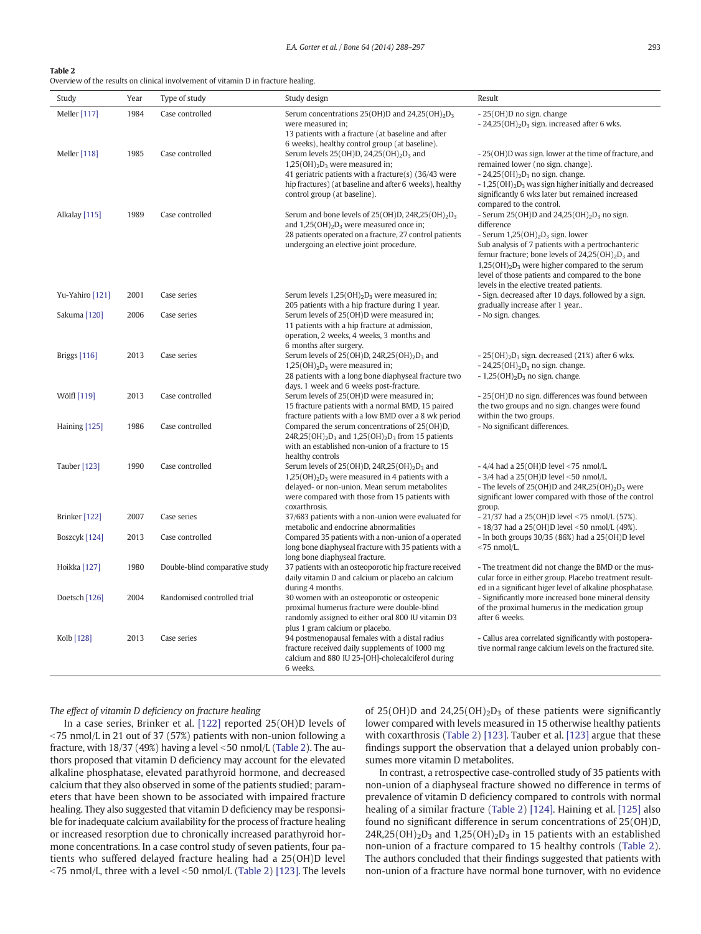#### <span id="page-5-0"></span>Table 2

Overview of the results on clinical involvement of vitamin D in fracture healing.

| Study               | Year | Type of study                  | Study design                                                                                                                                                                                                                                | Result                                                                                                                                                                                                                                                                                                                                                                                     |
|---------------------|------|--------------------------------|---------------------------------------------------------------------------------------------------------------------------------------------------------------------------------------------------------------------------------------------|--------------------------------------------------------------------------------------------------------------------------------------------------------------------------------------------------------------------------------------------------------------------------------------------------------------------------------------------------------------------------------------------|
| Meller [117]        | 1984 | Case controlled                | Serum concentrations $25(OH)D$ and $24,25(OH)2D3$<br>were measured in;<br>13 patients with a fracture (at baseline and after<br>6 weeks), healthy control group (at baseline).                                                              | - 25(OH)D no sign. change<br>$-24,25(OH)_{2}D_{3}$ sign. increased after 6 wks.                                                                                                                                                                                                                                                                                                            |
| Meller [118]        | 1985 | Case controlled                | Serum levels $25(OH)D$ , $24.25(OH)_{2}D_3$ and<br>$1,25(OH)_{2}D_{3}$ were measured in;<br>41 geriatric patients with a fracture(s) (36/43 were<br>hip fractures) (at baseline and after 6 weeks), healthy<br>control group (at baseline). | - 25(OH)D was sign. lower at the time of fracture, and<br>remained lower (no sign. change).<br>$-24,25(OH)2D3$ no sign. change.<br>$-1,25(OH)2D3$ was sign higher initially and decreased<br>significantly 6 wks later but remained increased<br>compared to the control.                                                                                                                  |
| Alkalay [115]       | 1989 | Case controlled                | Serum and bone levels of $25(OH)D$ , $24R$ , $25(OH)$ <sub>2</sub> $D_3$<br>and $1,25(OH)_2D_3$ were measured once in;<br>28 patients operated on a fracture, 27 control patients<br>undergoing an elective joint procedure.                | - Serum 25(OH)D and 24,25(OH) <sub>2</sub> D <sub>3</sub> no sign.<br>difference<br>- Serum $1,25(OH)_2D_3$ sign. lower<br>Sub analysis of 7 patients with a pertrochanteric<br>femur fracture; bone levels of $24,25(OH)_{2}D_{3}$ and<br>$1,25(OH)2D3$ were higher compared to the serum<br>level of those patients and compared to the bone<br>levels in the elective treated patients. |
| Yu-Yahiro [121]     | 2001 | Case series                    | Serum levels $1,25(OH)_2D_3$ were measured in;<br>205 patients with a hip fracture during 1 year.                                                                                                                                           | - Sign. decreased after 10 days, followed by a sign.<br>gradually increase after 1 year                                                                                                                                                                                                                                                                                                    |
| Sakuma [120]        | 2006 | Case series                    | Serum levels of 25(OH)D were measured in;<br>11 patients with a hip fracture at admission,<br>operation, 2 weeks, 4 weeks, 3 months and<br>6 months after surgery.                                                                          | - No sign. changes.                                                                                                                                                                                                                                                                                                                                                                        |
| <b>Briggs</b> [116] | 2013 | Case series                    | Serum levels of $25(OH)D$ , $24R,25(OH)_{2}D_{3}$ and<br>$1,25(OH)2D3$ were measured in;<br>28 patients with a long bone diaphyseal fracture two<br>days, 1 week and 6 weeks post-fracture.                                                 | $-25(OH)2D3$ sign. decreased (21%) after 6 wks.<br>$-24,25(OH)2D3$ no sign. change.<br>$-1,25(OH)2D3$ no sign, change,                                                                                                                                                                                                                                                                     |
| Wölfl [119]         | 2013 | Case controlled                | Serum levels of 25(OH)D were measured in;<br>15 fracture patients with a normal BMD, 15 paired<br>fracture patients with a low BMD over a 8 wk period                                                                                       | - 25(OH)D no sign. differences was found between<br>the two groups and no sign, changes were found<br>within the two groups.                                                                                                                                                                                                                                                               |
| Haining [125]       | 1986 | Case controlled                | Compared the serum concentrations of 25(OH)D,<br>$24R,25(OH)_{2}D_{3}$ and $1,25(OH)_{2}D_{3}$ from 15 patients<br>with an established non-union of a fracture to 15<br>healthy controls                                                    | - No significant differences.                                                                                                                                                                                                                                                                                                                                                              |
| Tauber [123]        | 1990 | Case controlled                | Serum levels of $25(OH)D$ , $24R$ , $25(OH)_{2}D_{3}$ and<br>$1,25(OH)2D3$ were measured in 4 patients with a<br>delayed- or non-union. Mean serum metabolites<br>were compared with those from 15 patients with<br>coxarthrosis.           | $-4/4$ had a 25(OH)D level <75 nmol/L.<br>$-3/4$ had a 25(OH)D level <50 nmol/L.<br>- The levels of $25(OH)D$ and $24R,25(OH)2D3$ were<br>significant lower compared with those of the control<br>group.                                                                                                                                                                                   |
| Brinker [122]       | 2007 | Case series                    | 37/683 patients with a non-union were evaluated for<br>metabolic and endocrine abnormalities                                                                                                                                                | $-21/37$ had a 25(OH)D level <75 nmol/L (57%).<br>$-18/37$ had a 25(OH)D level <50 nmol/L (49%).                                                                                                                                                                                                                                                                                           |
| Boszcyk [124]       | 2013 | Case controlled                | Compared 35 patients with a non-union of a operated<br>long bone diaphyseal fracture with 35 patients with a<br>long bone diaphyseal fracture.                                                                                              | - In both groups 30/35 (86%) had a 25(OH)D level<br>$<$ 75 nmol/L.                                                                                                                                                                                                                                                                                                                         |
| Hoikka [127]        | 1980 | Double-blind comparative study | 37 patients with an osteoporotic hip fracture received<br>daily vitamin D and calcium or placebo an calcium<br>during 4 months.                                                                                                             | - The treatment did not change the BMD or the mus-<br>cular force in either group. Placebo treatment result-<br>ed in a significant higer level of alkaline phosphatase.                                                                                                                                                                                                                   |
| Doetsch [126]       | 2004 | Randomised controlled trial    | 30 women with an osteoporotic or osteopenic<br>proximal humerus fracture were double-blind<br>randomly assigned to either oral 800 IU vitamin D3<br>plus 1 gram calcium or placebo.                                                         | - Significantly more increased bone mineral density<br>of the proximal humerus in the medication group<br>after 6 weeks.                                                                                                                                                                                                                                                                   |
| Kolb [128]          | 2013 | Case series                    | 94 postmenopausal females with a distal radius<br>fracture received daily supplements of 1000 mg<br>calcium and 880 IU 25-[OH]-cholecalciferol during<br>6 weeks.                                                                           | - Callus area correlated significantly with postopera-<br>tive normal range calcium levels on the fractured site.                                                                                                                                                                                                                                                                          |

The effect of vitamin D deficiency on fracture healing

In a case series, Brinker et al. [\[122\]](#page-9-0) reported 25(OH)D levels of  $<$ 75 nmol/L in 21 out of 37 (57%) patients with non-union following a fracture, with 18/37 (49%) having a level <50 nmol/L (Table 2). The authors proposed that vitamin D deficiency may account for the elevated alkaline phosphatase, elevated parathyroid hormone, and decreased calcium that they also observed in some of the patients studied; parameters that have been shown to be associated with impaired fracture healing. They also suggested that vitamin D deficiency may be responsible for inadequate calcium availability for the process of fracture healing or increased resorption due to chronically increased parathyroid hormone concentrations. In a case control study of seven patients, four patients who suffered delayed fracture healing had a 25(OH)D level  $<$ 75 nmol/L, three with a level  $<$ 50 nmol/L (Table 2) [\[123\].](#page-9-0) The levels

of 25(OH)D and 24,25(OH)<sub>2</sub>D<sub>3</sub> of these patients were significantly lower compared with levels measured in 15 otherwise healthy patients with coxarthrosis (Table 2) [\[123\].](#page-9-0) Tauber et al. [\[123\]](#page-9-0) argue that these findings support the observation that a delayed union probably consumes more vitamin D metabolites.

In contrast, a retrospective case-controlled study of 35 patients with non-union of a diaphyseal fracture showed no difference in terms of prevalence of vitamin D deficiency compared to controls with normal healing of a similar fracture (Table 2) [\[124\].](#page-9-0) Haining et al. [\[125\]](#page-9-0) also found no significant difference in serum concentrations of 25(OH)D,  $24R,25(OH)<sub>2</sub>D<sub>3</sub>$  and  $1,25(OH)<sub>2</sub>D<sub>3</sub>$  in 15 patients with an established non-union of a fracture compared to 15 healthy controls (Table 2). The authors concluded that their findings suggested that patients with non-union of a fracture have normal bone turnover, with no evidence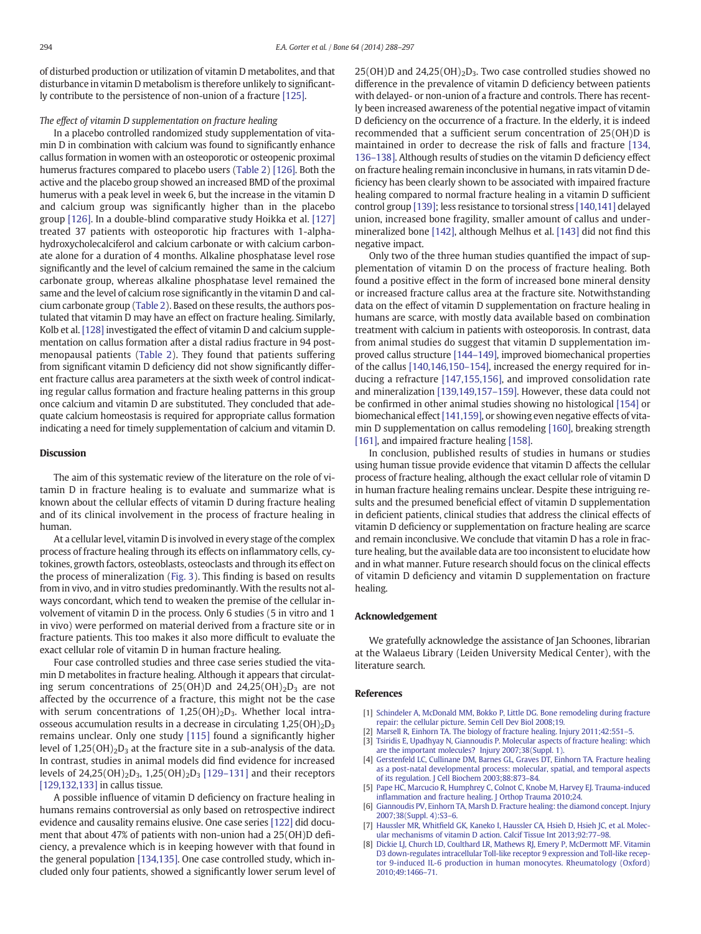<span id="page-6-0"></span>of disturbed production or utilization of vitamin D metabolites, and that disturbance in vitamin D metabolism is therefore unlikely to significantly contribute to the persistence of non-union of a fracture [\[125\].](#page-9-0)

#### The effect of vitamin D supplementation on fracture healing

In a placebo controlled randomized study supplementation of vitamin D in combination with calcium was found to significantly enhance callus formation in women with an osteoporotic or osteopenic proximal humerus fractures compared to placebo users [\(Table 2\)](#page-5-0) [\[126\].](#page-9-0) Both the active and the placebo group showed an increased BMD of the proximal humerus with a peak level in week 6, but the increase in the vitamin D and calcium group was significantly higher than in the placebo group [\[126\]](#page-9-0). In a double-blind comparative study Hoikka et al. [\[127\]](#page-9-0) treated 37 patients with osteoporotic hip fractures with 1-alphahydroxycholecalciferol and calcium carbonate or with calcium carbonate alone for a duration of 4 months. Alkaline phosphatase level rose significantly and the level of calcium remained the same in the calcium carbonate group, whereas alkaline phosphatase level remained the same and the level of calcium rose significantly in the vitamin D and calcium carbonate group ([Table 2\)](#page-5-0). Based on these results, the authors postulated that vitamin D may have an effect on fracture healing. Similarly, Kolb et al. [\[128\]](#page-9-0) investigated the effect of vitamin D and calcium supplementation on callus formation after a distal radius fracture in 94 postmenopausal patients [\(Table 2](#page-5-0)). They found that patients suffering from significant vitamin D deficiency did not show significantly different fracture callus area parameters at the sixth week of control indicating regular callus formation and fracture healing patterns in this group once calcium and vitamin D are substituted. They concluded that adequate calcium homeostasis is required for appropriate callus formation indicating a need for timely supplementation of calcium and vitamin D.

#### **Discussion**

The aim of this systematic review of the literature on the role of vitamin D in fracture healing is to evaluate and summarize what is known about the cellular effects of vitamin D during fracture healing and of its clinical involvement in the process of fracture healing in human.

At a cellular level, vitamin D is involved in every stage of the complex process of fracture healing through its effects on inflammatory cells, cytokines, growth factors, osteoblasts, osteoclasts and through its effect on the process of mineralization [\(Fig. 3\)](#page-3-0). This finding is based on results from in vivo, and in vitro studies predominantly. With the results not always concordant, which tend to weaken the premise of the cellular involvement of vitamin D in the process. Only 6 studies (5 in vitro and 1 in vivo) were performed on material derived from a fracture site or in fracture patients. This too makes it also more difficult to evaluate the exact cellular role of vitamin D in human fracture healing.

Four case controlled studies and three case series studied the vitamin D metabolites in fracture healing. Although it appears that circulating serum concentrations of  $25(OH)D$  and  $24,25(OH)<sub>2</sub>D<sub>3</sub>$  are not affected by the occurrence of a fracture, this might not be the case with serum concentrations of  $1,25(OH)_2D_3$ . Whether local intraosseous accumulation results in a decrease in circulating  $1,25(OH)<sub>2</sub>D<sub>3</sub>$ remains unclear. Only one study [\[115\]](#page-8-0) found a significantly higher level of  $1,25(OH)_2D_3$  at the fracture site in a sub-analysis of the data. In contrast, studies in animal models did find evidence for increased levels of 24,25(OH)<sub>2</sub>D<sub>3</sub>, 1,25(OH)<sub>2</sub>D<sub>3</sub> [\[129](#page-9-0)–131] and their receptors [\[129,132,133\]](#page-9-0) in callus tissue.

A possible influence of vitamin D deficiency on fracture healing in humans remains controversial as only based on retrospective indirect evidence and causality remains elusive. One case series [\[122\]](#page-9-0) did document that about 47% of patients with non-union had a 25(OH)D deficiency, a prevalence which is in keeping however with that found in the general population [\[134,135\].](#page-9-0) One case controlled study, which included only four patients, showed a significantly lower serum level of  $25(OH)D$  and  $24,25(OH)<sub>2</sub>D<sub>3</sub>$ . Two case controlled studies showed no difference in the prevalence of vitamin D deficiency between patients with delayed- or non-union of a fracture and controls. There has recently been increased awareness of the potential negative impact of vitamin D deficiency on the occurrence of a fracture. In the elderly, it is indeed recommended that a sufficient serum concentration of 25(OH)D is maintained in order to decrease the risk of falls and fracture [\[134,](#page-9-0) 136–[138\].](#page-9-0) Although results of studies on the vitamin D deficiency effect on fracture healing remain inconclusive in humans, in rats vitamin D deficiency has been clearly shown to be associated with impaired fracture healing compared to normal fracture healing in a vitamin D sufficient control group [\[139\]](#page-9-0); less resistance to torsional stress [\[140,141\]](#page-9-0) delayed union, increased bone fragility, smaller amount of callus and undermineralized bone [\[142\]](#page-9-0), although Melhus et al. [\[143\]](#page-9-0) did not find this negative impact.

Only two of the three human studies quantified the impact of supplementation of vitamin D on the process of fracture healing. Both found a positive effect in the form of increased bone mineral density or increased fracture callus area at the fracture site. Notwithstanding data on the effect of vitamin D supplementation on fracture healing in humans are scarce, with mostly data available based on combination treatment with calcium in patients with osteoporosis. In contrast, data from animal studies do suggest that vitamin D supplementation improved callus structure [144–[149\]](#page-9-0), improved biomechanical properties of the callus [\[140,146,150](#page-9-0)–154], increased the energy required for inducing a refracture [\[147,155,156\]](#page-9-0), and improved consolidation rate and mineralization [\[139,149,157](#page-9-0)–159]. However, these data could not be confirmed in other animal studies showing no histological [\[154\]](#page-9-0) or biomechanical effect [\[141,159\]](#page-9-0), or showing even negative effects of vitamin D supplementation on callus remodeling [\[160\]](#page-9-0), breaking strength [\[161\]](#page-9-0), and impaired fracture healing [\[158\].](#page-9-0)

In conclusion, published results of studies in humans or studies using human tissue provide evidence that vitamin D affects the cellular process of fracture healing, although the exact cellular role of vitamin D in human fracture healing remains unclear. Despite these intriguing results and the presumed beneficial effect of vitamin D supplementation in deficient patients, clinical studies that address the clinical effects of vitamin D deficiency or supplementation on fracture healing are scarce and remain inconclusive. We conclude that vitamin D has a role in fracture healing, but the available data are too inconsistent to elucidate how and in what manner. Future research should focus on the clinical effects of vitamin D deficiency and vitamin D supplementation on fracture healing.

### Acknowledgement

We gratefully acknowledge the assistance of Jan Schoones, librarian at the Walaeus Library (Leiden University Medical Center), with the literature search.

## References

- [1] [Schindeler A, McDonald MM, Bokko P, Little DG. Bone remodeling during fracture](http://refhub.elsevier.com/S8756-3282(14)00161-6/rf0545) [repair: the cellular picture. Semin Cell Dev Biol 2008;19.](http://refhub.elsevier.com/S8756-3282(14)00161-6/rf0545)
- [2] [Marsell R, Einhorn TA. The biology of fracture healing. Injury 2011;42:551](http://refhub.elsevier.com/S8756-3282(14)00161-6/rf0005)-5.
- [3] [Tsiridis E, Upadhyay N, Giannoudis P. Molecular aspects of fracture healing: which](http://refhub.elsevier.com/S8756-3282(14)00161-6/rf0550) [are the important molecules? Injury 2007;38\(Suppl. 1\).](http://refhub.elsevier.com/S8756-3282(14)00161-6/rf0550)
- [4] [Gerstenfeld LC, Cullinane DM, Barnes GL, Graves DT, Einhorn TA. Fracture healing](http://refhub.elsevier.com/S8756-3282(14)00161-6/rf0010) [as a post-natal developmental process: molecular, spatial, and temporal aspects](http://refhub.elsevier.com/S8756-3282(14)00161-6/rf0010) [of its regulation. J Cell Biochem 2003;88:873](http://refhub.elsevier.com/S8756-3282(14)00161-6/rf0010)–84.
- [5] [Pape HC, Marcucio R, Humphrey C, Colnot C, Knobe M, Harvey EJ. Trauma-induced](http://refhub.elsevier.com/S8756-3282(14)00161-6/rf0555) infl[ammation and fracture healing. J Orthop Trauma 2010;24.](http://refhub.elsevier.com/S8756-3282(14)00161-6/rf0555)
- [6] [Giannoudis PV, Einhorn TA, Marsh D. Fracture healing: the diamond concept. Injury](http://refhub.elsevier.com/S8756-3282(14)00161-6/rf0015) [2007;38\(Suppl. 4\):S3](http://refhub.elsevier.com/S8756-3282(14)00161-6/rf0015)–6.
- [7] Haussler MR, Whitfi[eld GK, Kaneko I, Haussler CA, Hsieh D, Hsieh JC, et al. Molec](http://refhub.elsevier.com/S8756-3282(14)00161-6/rf0560)[ular mechanisms of vitamin D action. Calcif Tissue Int 2013;92:77](http://refhub.elsevier.com/S8756-3282(14)00161-6/rf0560)–98.
- [8] [Dickie LJ, Church LD, Coulthard LR, Mathews RJ, Emery P, McDermott MF. Vitamin](http://refhub.elsevier.com/S8756-3282(14)00161-6/rf0025) [D3 down-regulates intracellular Toll-like receptor 9 expression and Toll-like recep](http://refhub.elsevier.com/S8756-3282(14)00161-6/rf0025)[tor 9-induced IL-6 production in human monocytes. Rheumatology \(Oxford\)](http://refhub.elsevier.com/S8756-3282(14)00161-6/rf0025) [2010;49:1466](http://refhub.elsevier.com/S8756-3282(14)00161-6/rf0025)–71.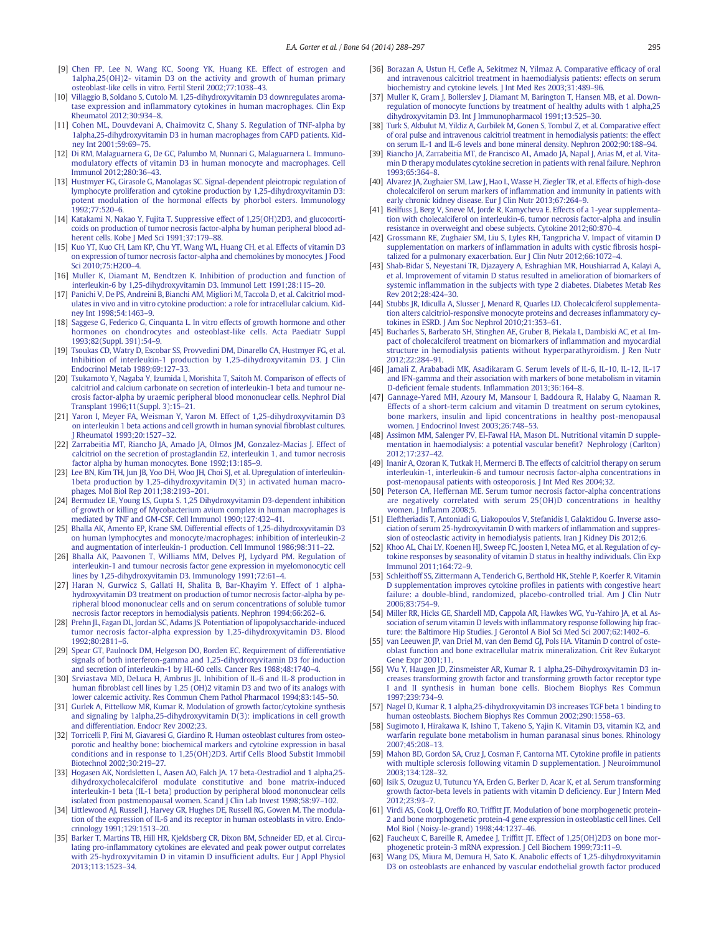- <span id="page-7-0"></span>[9] [Chen FP, Lee N, Wang KC, Soong YK, Huang KE. Effect of estrogen and](http://refhub.elsevier.com/S8756-3282(14)00161-6/rf0030) [1alpha,25\(OH\)2- vitamin D3 on the activity and growth of human primary](http://refhub.elsevier.com/S8756-3282(14)00161-6/rf0030) [osteoblast-like cells in vitro. Fertil Steril 2002;77:1038](http://refhub.elsevier.com/S8756-3282(14)00161-6/rf0030)–43.
- [10] [Villaggio B, Soldano S, Cutolo M. 1,25-dihydroxyvitamin D3 downregulates aroma](http://refhub.elsevier.com/S8756-3282(14)00161-6/rf0035)tase expression and infl[ammatory cytokines in human macrophages. Clin Exp](http://refhub.elsevier.com/S8756-3282(14)00161-6/rf0035) [Rheumatol 2012;30:934](http://refhub.elsevier.com/S8756-3282(14)00161-6/rf0035)–8.
- [11] [Cohen ML, Douvdevani A, Chaimovitz C, Shany S. Regulation of TNF-alpha by](http://refhub.elsevier.com/S8756-3282(14)00161-6/rf0040) [1alpha,25-dihydroxyvitamin D3 in human macrophages from CAPD patients. Kid](http://refhub.elsevier.com/S8756-3282(14)00161-6/rf0040)[ney Int 2001;59:69](http://refhub.elsevier.com/S8756-3282(14)00161-6/rf0040)–75.
- [12] [Di RM, Malaguarnera G, De GC, Palumbo M, Nunnari G, Malaguarnera L. Immuno](http://refhub.elsevier.com/S8756-3282(14)00161-6/rf0045)[modulatory effects of vitamin D3 in human monocyte and macrophages. Cell](http://refhub.elsevier.com/S8756-3282(14)00161-6/rf0045) [Immunol 2012;280:36](http://refhub.elsevier.com/S8756-3282(14)00161-6/rf0045)–43.
- [13] Hustmyer FG, Girasole G, Manolagas SC, Signal-dependent pleiotropic regulation of [lymphocyte proliferation and cytokine production by 1,25-dihydroxyvitamin D3:](http://refhub.elsevier.com/S8756-3282(14)00161-6/rf0050) [potent modulation of the hormonal effects by phorbol esters. Immunology](http://refhub.elsevier.com/S8756-3282(14)00161-6/rf0050) [1992;77:520](http://refhub.elsevier.com/S8756-3282(14)00161-6/rf0050)–6.
- [14] [Katakami N, Nakao Y, Fujita T. Suppressive effect of 1,25\(OH\)2D3, and glucocorti](http://refhub.elsevier.com/S8756-3282(14)00161-6/rf0055)[coids on production of tumor necrosis factor-alpha by human peripheral blood ad](http://refhub.elsevier.com/S8756-3282(14)00161-6/rf0055)[herent cells. Kobe J Med Sci 1991;37:179](http://refhub.elsevier.com/S8756-3282(14)00161-6/rf0055)–88.
- [15] [Kuo YT, Kuo CH, Lam KP, Chu YT, Wang WL, Huang CH, et al. Effects of vitamin D3](http://refhub.elsevier.com/S8756-3282(14)00161-6/rf0060) [on expression of tumor necrosis factor-alpha and chemokines by monocytes. J Food](http://refhub.elsevier.com/S8756-3282(14)00161-6/rf0060) [Sci 2010;75:H200](http://refhub.elsevier.com/S8756-3282(14)00161-6/rf0060)–4.
- [16] [Muller K, Diamant M, Bendtzen K. Inhibition of production and function of](http://refhub.elsevier.com/S8756-3282(14)00161-6/rf0065) [interleukin-6 by 1,25-dihydroxyvitamin D3. Immunol Lett 1991;28:115](http://refhub.elsevier.com/S8756-3282(14)00161-6/rf0065)–20.
- [17] [Panichi V, De PS, Andreini B, Bianchi AM, Migliori M, Taccola D, et al. Calcitriol mod](http://refhub.elsevier.com/S8756-3282(14)00161-6/rf0070)[ulates in vivo and in vitro cytokine production: a role for intracellular calcium. Kid](http://refhub.elsevier.com/S8756-3282(14)00161-6/rf0070)[ney Int 1998;54:1463](http://refhub.elsevier.com/S8756-3282(14)00161-6/rf0070)–9.
- [18] [Saggese G, Federico G, Cinquanta L. In vitro effects of growth hormone and other](http://refhub.elsevier.com/S8756-3282(14)00161-6/rf0075) [hormones on chondrocytes and osteoblast-like cells. Acta Paediatr Suppl](http://refhub.elsevier.com/S8756-3282(14)00161-6/rf0075) [1993;82\(Suppl. 391\):54](http://refhub.elsevier.com/S8756-3282(14)00161-6/rf0075)–9.
- [19] [Tsoukas CD, Watry D, Escobar SS, Provvedini DM, Dinarello CA, Hustmyer FG, et al.](http://refhub.elsevier.com/S8756-3282(14)00161-6/rf0080) [Inhibition of interleukin-1 production by 1,25-dihydroxyvitamin D3. J Clin](http://refhub.elsevier.com/S8756-3282(14)00161-6/rf0080) [Endocrinol Metab 1989;69:127](http://refhub.elsevier.com/S8756-3282(14)00161-6/rf0080)–33.
- [20] [Tsukamoto Y, Nagaba Y, Izumida I, Morishita T, Saitoh M. Comparison of effects of](http://refhub.elsevier.com/S8756-3282(14)00161-6/rf0085) [calcitriol and calcium carbonate on secretion of interleukin-1 beta and tumour ne](http://refhub.elsevier.com/S8756-3282(14)00161-6/rf0085)[crosis factor-alpha by uraemic peripheral blood mononuclear cells. Nephrol Dial](http://refhub.elsevier.com/S8756-3282(14)00161-6/rf0085) [Transplant 1996;11\(Suppl. 3\):15](http://refhub.elsevier.com/S8756-3282(14)00161-6/rf0085)–21.
- [21] [Yaron I, Meyer FA, Weisman Y, Yaron M. Effect of 1,25-dihydroxyvitamin D3](http://refhub.elsevier.com/S8756-3282(14)00161-6/rf0090) [on interleukin 1 beta actions and cell growth in human synovial](http://refhub.elsevier.com/S8756-3282(14)00161-6/rf0090) fibroblast cultures. [J Rheumatol 1993;20:1527](http://refhub.elsevier.com/S8756-3282(14)00161-6/rf0090)–32.
- [22] [Zarrabeitia MT, Riancho JA, Amado JA, Olmos JM, Gonzalez-Macias J. Effect of](http://refhub.elsevier.com/S8756-3282(14)00161-6/rf0095) [calcitriol on the secretion of prostaglandin E2, interleukin 1, and tumor necrosis](http://refhub.elsevier.com/S8756-3282(14)00161-6/rf0095) [factor alpha by human monocytes. Bone 1992;13:185](http://refhub.elsevier.com/S8756-3282(14)00161-6/rf0095)–9.
- [23] [Lee BN, Kim TH, Jun JB, Yoo DH, Woo JH, Choi SJ, et al. Upregulation of interleukin-](http://refhub.elsevier.com/S8756-3282(14)00161-6/rf0100)[1beta production by 1,25-dihydroxyvitamin D\(3\) in activated human macro](http://refhub.elsevier.com/S8756-3282(14)00161-6/rf0100)[phages. Mol Biol Rep 2011;38:2193](http://refhub.elsevier.com/S8756-3282(14)00161-6/rf0100)–201.
- [24] [Bermudez LE, Young LS, Gupta S. 1,25 Dihydroxyvitamin D3-dependent inhibition](http://refhub.elsevier.com/S8756-3282(14)00161-6/rf0105) [of growth or killing of Mycobacterium avium complex in human macrophages is](http://refhub.elsevier.com/S8756-3282(14)00161-6/rf0105) [mediated by TNF and GM-CSF. Cell Immunol 1990;127:432](http://refhub.elsevier.com/S8756-3282(14)00161-6/rf0105)–41.
- [25] [Bhalla AK, Amento EP, Krane SM. Differential effects of 1,25-dihydroxyvitamin D3](http://refhub.elsevier.com/S8756-3282(14)00161-6/rf0110) [on human lymphocytes and monocyte/macrophages: inhibition of interleukin-2](http://refhub.elsevier.com/S8756-3282(14)00161-6/rf0110) [and augmentation of interleukin-1 production. Cell Immunol 1986;98:311](http://refhub.elsevier.com/S8756-3282(14)00161-6/rf0110)–22.
- [26] [Bhalla AK, Paavonen T, Williams MM, Delves PJ, Lydyard PM. Regulation of](http://refhub.elsevier.com/S8756-3282(14)00161-6/rf0115) [interleukin-1 and tumour necrosis factor gene expression in myelomonocytic cell](http://refhub.elsevier.com/S8756-3282(14)00161-6/rf0115) [lines by 1,25-dihydroxyvitamin D3. Immunology 1991;72:61](http://refhub.elsevier.com/S8756-3282(14)00161-6/rf0115)–4.
- [27] [Haran N, Gurwicz S, Gallati H, Shalita B, Bar-Khayim Y. Effect of 1 alpha](http://refhub.elsevier.com/S8756-3282(14)00161-6/rf0120)[hydroxyvitamin D3 treatment on production of tumor necrosis factor-alpha by pe](http://refhub.elsevier.com/S8756-3282(14)00161-6/rf0120)[ripheral blood mononuclear cells and on serum concentrations of soluble tumor](http://refhub.elsevier.com/S8756-3282(14)00161-6/rf0120) [necrosis factor receptors in hemodialysis patients. Nephron 1994;66:262](http://refhub.elsevier.com/S8756-3282(14)00161-6/rf0120)–6.
- [28] [Prehn JL, Fagan DL, Jordan SC, Adams JS. Potentiation of lipopolysaccharide-induced](http://refhub.elsevier.com/S8756-3282(14)00161-6/rf0125) [tumor necrosis factor-alpha expression by 1,25-dihydroxyvitamin D3. Blood](http://refhub.elsevier.com/S8756-3282(14)00161-6/rf0125) [1992;80:2811](http://refhub.elsevier.com/S8756-3282(14)00161-6/rf0125)–6.
- [29] [Spear GT, Paulnock DM, Helgeson DO, Borden EC. Requirement of differentiative](http://refhub.elsevier.com/S8756-3282(14)00161-6/rf0130) [signals of both interferon-gamma and 1,25-dihydroxyvitamin D3 for induction](http://refhub.elsevier.com/S8756-3282(14)00161-6/rf0130) [and secretion of interleukin-1 by HL-60 cells. Cancer Res 1988;48:1740](http://refhub.elsevier.com/S8756-3282(14)00161-6/rf0130)–4.
- [30] [Srviastava MD, DeLuca H, Ambrus JL. Inhibition of IL-6 and IL-8 production in](http://refhub.elsevier.com/S8756-3282(14)00161-6/rf0135) human fi[broblast cell lines by 1,25 \(OH\)2 vitamin D3 and two of its analogs with](http://refhub.elsevier.com/S8756-3282(14)00161-6/rf0135) [lower calcemic activity. Res Commun Chem Pathol Pharmacol 1994;83:145](http://refhub.elsevier.com/S8756-3282(14)00161-6/rf0135)–50.
- [31] [Gurlek A, Pittelkow MR, Kumar R. Modulation of growth factor/cytokine synthesis](http://refhub.elsevier.com/S8756-3282(14)00161-6/rf0565) [and signaling by 1alpha,25-dihydroxyvitamin D\(3\): implications in cell growth](http://refhub.elsevier.com/S8756-3282(14)00161-6/rf0565) [and differentiation. Endocr Rev 2002;23.](http://refhub.elsevier.com/S8756-3282(14)00161-6/rf0565)
- [32] [Torricelli P, Fini M, Giavaresi G, Giardino R. Human osteoblast cultures from osteo](http://refhub.elsevier.com/S8756-3282(14)00161-6/rf0140)[porotic and healthy bone: biochemical markers and cytokine expression in basal](http://refhub.elsevier.com/S8756-3282(14)00161-6/rf0140) [conditions and in response to 1,25\(OH\)2D3. Artif Cells Blood Substit Immobil](http://refhub.elsevier.com/S8756-3282(14)00161-6/rf0140) [Biotechnol 2002;30:219](http://refhub.elsevier.com/S8756-3282(14)00161-6/rf0140)–27.
- [33] Hogasen AK, Nordsletten L, Aasen AO, Falch JA, 17 beta-Oestradiol and 1 alpha,25[dihydroxycholecalciferol modulate constitutive and bone matrix-induced](http://refhub.elsevier.com/S8756-3282(14)00161-6/rf0145) [interleukin-1 beta \(IL-1 beta\) production by peripheral blood mononuclear cells](http://refhub.elsevier.com/S8756-3282(14)00161-6/rf0145) [isolated from postmenopausal women. Scand J Clin Lab Invest 1998;58:97](http://refhub.elsevier.com/S8756-3282(14)00161-6/rf0145)–102.
- [34] Littlewood AJ, Russell J, Harvey GR, Hughes DE, Russell RG, Gowen M, The modula[tion of the expression of IL-6 and its receptor in human osteoblasts in vitro. Endo](http://refhub.elsevier.com/S8756-3282(14)00161-6/rf0150)[crinology 1991;129:1513](http://refhub.elsevier.com/S8756-3282(14)00161-6/rf0150)–20.
- [35] [Barker T, Martins TB, Hill HR, Kjeldsberg CR, Dixon BM, Schneider ED, et al. Circu](http://refhub.elsevier.com/S8756-3282(14)00161-6/rf0155)lating pro-infl[ammatory cytokines are elevated and peak power output correlates](http://refhub.elsevier.com/S8756-3282(14)00161-6/rf0155) [with 25-hydroxyvitamin D in vitamin D insuf](http://refhub.elsevier.com/S8756-3282(14)00161-6/rf0155)ficient adults. Eur J Appl Physiol [2013;113:1523](http://refhub.elsevier.com/S8756-3282(14)00161-6/rf0155)–34.
- [36] Borazan A, Ustun H, Cefl[e A, Sekitmez N, Yilmaz A. Comparative ef](http://refhub.elsevier.com/S8756-3282(14)00161-6/rf0160)ficacy of oral [and intravenous calcitriol treatment in haemodialysis patients: effects on serum](http://refhub.elsevier.com/S8756-3282(14)00161-6/rf0160) [biochemistry and cytokine levels. J Int Med Res 2003;31:489](http://refhub.elsevier.com/S8756-3282(14)00161-6/rf0160)–96.
- [37] [Muller K, Gram J, Bollerslev J, Diamant M, Barington T, Hansen MB, et al. Down](http://refhub.elsevier.com/S8756-3282(14)00161-6/rf0165)[regulation of monocyte functions by treatment of healthy adults with 1 alpha,25](http://refhub.elsevier.com/S8756-3282(14)00161-6/rf0165) [dihydroxyvitamin D3. Int J Immunopharmacol 1991;13:525](http://refhub.elsevier.com/S8756-3282(14)00161-6/rf0165)–30.
- [38] [Turk S, Akbulut M, Yildiz A, Gurbilek M, Gonen S, Tombul Z, et al. Comparative effect](http://refhub.elsevier.com/S8756-3282(14)00161-6/rf0170) [of oral pulse and intravenous calcitriol treatment in hemodialysis patients: the effect](http://refhub.elsevier.com/S8756-3282(14)00161-6/rf0170)
- [on serum IL-1 and IL-6 levels and bone mineral density. Nephron 2002;90:188](http://refhub.elsevier.com/S8756-3282(14)00161-6/rf0170)–94. [39] [Riancho JA, Zarrabeitia MT, de Francisco AL, Amado JA, Napal J, Arias M, et al. Vita](http://refhub.elsevier.com/S8756-3282(14)00161-6/rf0175)[min D therapy modulates cytokine secretion in patients with renal failure. Nephron](http://refhub.elsevier.com/S8756-3282(14)00161-6/rf0175) [1993;65:364](http://refhub.elsevier.com/S8756-3282(14)00161-6/rf0175)–8.
- [40] [Alvarez JA, Zughaier SM, Law J, Hao L, Wasse H, Ziegler TR, et al. Effects of high-dose](http://refhub.elsevier.com/S8756-3282(14)00161-6/rf0180) cholecalciferol on serum markers of infl[ammation and immunity in patients with](http://refhub.elsevier.com/S8756-3282(14)00161-6/rf0180) [early chronic kidney disease. Eur J Clin Nutr 2013;67:264](http://refhub.elsevier.com/S8756-3282(14)00161-6/rf0180)–9.
- [41] [Beilfuss J, Berg V, Sneve M, Jorde R, Kamycheva E. Effects of a 1-year supplementa](http://refhub.elsevier.com/S8756-3282(14)00161-6/rf0185)[tion with cholecalciferol on interleukin-6, tumor necrosis factor-alpha and insulin](http://refhub.elsevier.com/S8756-3282(14)00161-6/rf0185) [resistance in overweight and obese subjects. Cytokine 2012;60:870](http://refhub.elsevier.com/S8756-3282(14)00161-6/rf0185)–4.
- [42] [Grossmann RE, Zughaier SM, Liu S, Lyles RH, Tangpricha V. Impact of vitamin D](http://refhub.elsevier.com/S8756-3282(14)00161-6/rf0190) [supplementation on markers of in](http://refhub.elsevier.com/S8756-3282(14)00161-6/rf0190)flammation in adults with cystic fibrosis hospi[talized for a pulmonary exacerbation. Eur J Clin Nutr 2012;66:1072](http://refhub.elsevier.com/S8756-3282(14)00161-6/rf0190)-4
- [43] [Shab-Bidar S, Neyestani TR, Djazayery A, Eshraghian MR, Houshiarrad A, Kalayi A,](http://refhub.elsevier.com/S8756-3282(14)00161-6/rf0195) [et al. Improvement of vitamin D status resulted in amelioration of biomarkers of](http://refhub.elsevier.com/S8756-3282(14)00161-6/rf0195) systemic infl[ammation in the subjects with type 2 diabetes. Diabetes Metab Res](http://refhub.elsevier.com/S8756-3282(14)00161-6/rf0195) [Rev 2012;28:424](http://refhub.elsevier.com/S8756-3282(14)00161-6/rf0195)–30.
- [44] [Stubbs JR, Idiculla A, Slusser J, Menard R, Quarles LD. Cholecalciferol supplementa](http://refhub.elsevier.com/S8756-3282(14)00161-6/rf0200)[tion alters calcitriol-responsive monocyte proteins and decreases in](http://refhub.elsevier.com/S8756-3282(14)00161-6/rf0200)flammatory cy[tokines in ESRD. J Am Soc Nephrol 2010;21:353](http://refhub.elsevier.com/S8756-3282(14)00161-6/rf0200)–61.
- [45] [Bucharles S, Barberato SH, Stinghen AE, Gruber B, Piekala L, Dambiski AC, et al. Im](http://refhub.elsevier.com/S8756-3282(14)00161-6/rf0205)[pact of cholecalciferol treatment on biomarkers of in](http://refhub.elsevier.com/S8756-3282(14)00161-6/rf0205)flammation and myocardial [structure in hemodialysis patients without hyperparathyroidism. J Ren Nutr](http://refhub.elsevier.com/S8756-3282(14)00161-6/rf0205)  $2012:22:284-91$
- [46] [Jamali Z, Arababadi MK, Asadikaram G. Serum levels of IL-6, IL-10, IL-12, IL-17](http://refhub.elsevier.com/S8756-3282(14)00161-6/rf0210) [and IFN-gamma and their association with markers of bone metabolism in vitamin](http://refhub.elsevier.com/S8756-3282(14)00161-6/rf0210) D-defi[cient female students. In](http://refhub.elsevier.com/S8756-3282(14)00161-6/rf0210)flammation 2013;36:164–8.
- [47] [Gannage-Yared MH, Azoury M, Mansour I, Baddoura R, Halaby G, Naaman R.](http://refhub.elsevier.com/S8756-3282(14)00161-6/rf0215) [Effects of a short-term calcium and vitamin D treatment on serum cytokines,](http://refhub.elsevier.com/S8756-3282(14)00161-6/rf0215) [bone markers, insulin and lipid concentrations in healthy post-menopausal](http://refhub.elsevier.com/S8756-3282(14)00161-6/rf0215) [women. J Endocrinol Invest 2003;26:748](http://refhub.elsevier.com/S8756-3282(14)00161-6/rf0215)–53.
- [48] [Assimon MM, Salenger PV, El-Fawal HA, Mason DL. Nutritional vitamin D supple](http://refhub.elsevier.com/S8756-3282(14)00161-6/rf0220)[mentation in haemodialysis: a potential vascular bene](http://refhub.elsevier.com/S8756-3282(14)00161-6/rf0220)fit? Nephrology (Carlton) [2012;17:237](http://refhub.elsevier.com/S8756-3282(14)00161-6/rf0220)–42.
- [49] [Inanir A, Ozoran K, Tutkak H, Mermerci B. The effects of calcitriol therapy on serum](http://refhub.elsevier.com/S8756-3282(14)00161-6/rf0570) [interleukin-1, interleukin-6 and tumour necrosis factor-alpha concentrations in](http://refhub.elsevier.com/S8756-3282(14)00161-6/rf0570) [post-menopausal patients with osteoporosis. J Int Med Res 2004;32.](http://refhub.elsevier.com/S8756-3282(14)00161-6/rf0570)
- [50] [Peterson CA, Heffernan ME. Serum tumor necrosis factor-alpha concentrations](http://refhub.elsevier.com/S8756-3282(14)00161-6/rf0575) [are negatively correlated with serum 25\(OH\)D concentrations in healthy](http://refhub.elsevier.com/S8756-3282(14)00161-6/rf0575) women. J Infl[amm 2008;5.](http://refhub.elsevier.com/S8756-3282(14)00161-6/rf0575)
- [51] [Eleftheriadis T, Antoniadi G, Liakopoulos V, Stefanidis I, Galaktidou G. Inverse asso](http://refhub.elsevier.com/S8756-3282(14)00161-6/rf0580)[ciation of serum 25-hydroxyvitamin D with markers of in](http://refhub.elsevier.com/S8756-3282(14)00161-6/rf0580)flammation and suppression of osteoclastic activity in hemodialysis patients. Iran J Kidney Dis 2012;6
- [52] [Khoo AL, Chai LY, Koenen HJ, Sweep FC, Joosten I, Netea MG, et al. Regulation of cy](http://refhub.elsevier.com/S8756-3282(14)00161-6/rf0225)[tokine responses by seasonality of vitamin D status in healthy individuals. Clin Exp](http://refhub.elsevier.com/S8756-3282(14)00161-6/rf0225) [Immunol 2011;164:72](http://refhub.elsevier.com/S8756-3282(14)00161-6/rf0225)–9.
- [53] [Schleithoff SS, Zittermann A, Tenderich G, Berthold HK, Stehle P, Koerfer R. Vitamin](http://refhub.elsevier.com/S8756-3282(14)00161-6/rf0230) [D supplementation improves cytokine pro](http://refhub.elsevier.com/S8756-3282(14)00161-6/rf0230)files in patients with congestive heart [failure: a double-blind, randomized, placebo-controlled trial. Am J Clin Nutr](http://refhub.elsevier.com/S8756-3282(14)00161-6/rf0230) [2006;83:754](http://refhub.elsevier.com/S8756-3282(14)00161-6/rf0230)–9.
- [54] [Miller RR, Hicks GE, Shardell MD, Cappola AR, Hawkes WG, Yu-Yahiro JA, et al. As](http://refhub.elsevier.com/S8756-3282(14)00161-6/rf0235)[sociation of serum vitamin D levels with in](http://refhub.elsevier.com/S8756-3282(14)00161-6/rf0235)flammatory response following hip frac[ture: the Baltimore Hip Studies. J Gerontol A Biol Sci Med Sci 2007;62:1402](http://refhub.elsevier.com/S8756-3282(14)00161-6/rf0235)–6.
- [55] [van Leeuwen JP, van Driel M, van den Bemd GJ, Pols HA. Vitamin D control of oste](http://refhub.elsevier.com/S8756-3282(14)00161-6/rf0585)[oblast function and bone extracellular matrix mineralization. Crit Rev Eukaryot](http://refhub.elsevier.com/S8756-3282(14)00161-6/rf0585) [Gene Expr 2001;11.](http://refhub.elsevier.com/S8756-3282(14)00161-6/rf0585)
- [56] [Wu Y, Haugen JD, Zinsmeister AR, Kumar R. 1 alpha,25-Dihydroxyvitamin D3 in](http://refhub.elsevier.com/S8756-3282(14)00161-6/rf0240)[creases transforming growth factor and transforming growth factor receptor type](http://refhub.elsevier.com/S8756-3282(14)00161-6/rf0240) [I and II synthesis in human bone cells. Biochem Biophys Res Commun](http://refhub.elsevier.com/S8756-3282(14)00161-6/rf0240) [1997;239:734](http://refhub.elsevier.com/S8756-3282(14)00161-6/rf0240)–9.
- [57] [Nagel D, Kumar R. 1 alpha,25-dihydroxyvitamin D3 increases TGF beta 1 binding to](http://refhub.elsevier.com/S8756-3282(14)00161-6/rf0245) [human osteoblasts. Biochem Biophys Res Commun 2002;290:1558](http://refhub.elsevier.com/S8756-3282(14)00161-6/rf0245)–63.
- [58] [Sugimoto I, Hirakawa K, Ishino T, Takeno S, Yajin K. Vitamin D3, vitamin K2, and](http://refhub.elsevier.com/S8756-3282(14)00161-6/rf0250) [warfarin regulate bone metabolism in human paranasal sinus bones. Rhinology](http://refhub.elsevier.com/S8756-3282(14)00161-6/rf0250) [2007;45:208](http://refhub.elsevier.com/S8756-3282(14)00161-6/rf0250)–13.
- [59] [Mahon BD, Gordon SA, Cruz J, Cosman F, Cantorna MT. Cytokine pro](http://refhub.elsevier.com/S8756-3282(14)00161-6/rf0255)file in patients [with multiple sclerosis following vitamin D supplementation. J Neuroimmunol](http://refhub.elsevier.com/S8756-3282(14)00161-6/rf0255) [2003;134:128](http://refhub.elsevier.com/S8756-3282(14)00161-6/rf0255)–32.
- [60] [Isik S, Ozuguz U, Tutuncu YA, Erden G, Berker D, Acar K, et al. Serum transforming](http://refhub.elsevier.com/S8756-3282(14)00161-6/rf0260) [growth factor-beta levels in patients with vitamin D de](http://refhub.elsevier.com/S8756-3282(14)00161-6/rf0260)ficiency. Eur J Intern Med [2012;23:93](http://refhub.elsevier.com/S8756-3282(14)00161-6/rf0260)–7.
- [61] Virdi AS, Cook LJ, Oreffo RO, Triffi[tt JT. Modulation of bone morphogenetic protein-](http://refhub.elsevier.com/S8756-3282(14)00161-6/rf0590)[2 and bone morphogenetic protein-4 gene expression in osteoblastic cell lines. Cell](http://refhub.elsevier.com/S8756-3282(14)00161-6/rf0590) [Mol Biol \(Noisy-le-grand\) 1998;44:1237](http://refhub.elsevier.com/S8756-3282(14)00161-6/rf0590)–46.
- [62] Faucheux C, Bareille R, Amedee J, Triffi[tt JT. Effect of 1,25\(OH\)2D3 on bone mor](http://refhub.elsevier.com/S8756-3282(14)00161-6/rf0265)[phogenetic protein-3 mRNA expression. J Cell Biochem 1999;73:11](http://refhub.elsevier.com/S8756-3282(14)00161-6/rf0265)–9.
- [63] [Wang DS, Miura M, Demura H, Sato K. Anabolic effects of 1,25-dihydroxyvitamin](http://refhub.elsevier.com/S8756-3282(14)00161-6/rf0270) [D3 on osteoblasts are enhanced by vascular endothelial growth factor produced](http://refhub.elsevier.com/S8756-3282(14)00161-6/rf0270)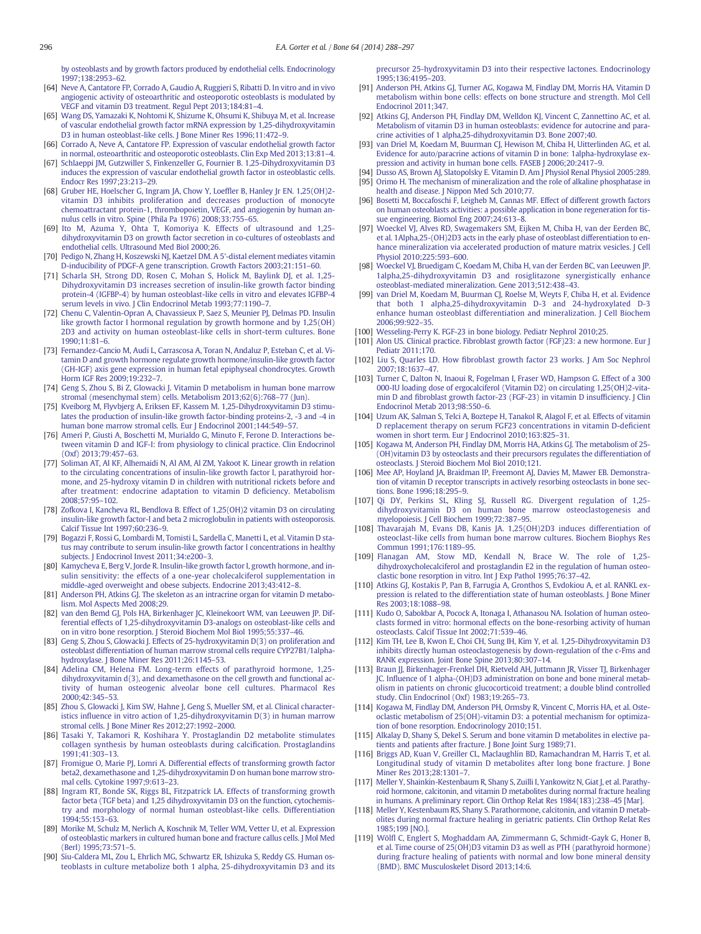<span id="page-8-0"></span>[by osteoblasts and by growth factors produced by endothelial cells. Endocrinology](http://refhub.elsevier.com/S8756-3282(14)00161-6/rf0270) [1997;138:2953](http://refhub.elsevier.com/S8756-3282(14)00161-6/rf0270)–62.

- [64] [Neve A, Cantatore FP, Corrado A, Gaudio A, Ruggieri S, Ribatti D. In vitro and in vivo](http://refhub.elsevier.com/S8756-3282(14)00161-6/rf0275) [angiogenic activity of osteoarthritic and osteoporotic osteoblasts is modulated by](http://refhub.elsevier.com/S8756-3282(14)00161-6/rf0275) [VEGF and vitamin D3 treatment. Regul Pept 2013;184:81](http://refhub.elsevier.com/S8756-3282(14)00161-6/rf0275)–4.
- [65] [Wang DS, Yamazaki K, Nohtomi K, Shizume K, Ohsumi K, Shibuya M, et al. Increase](http://refhub.elsevier.com/S8756-3282(14)00161-6/rf0280) [of vascular endothelial growth factor mRNA expression by 1,25-dihydroxyvitamin](http://refhub.elsevier.com/S8756-3282(14)00161-6/rf0280) [D3 in human osteoblast-like cells. J Bone Miner Res 1996;11:472](http://refhub.elsevier.com/S8756-3282(14)00161-6/rf0280)–9.
- [66] [Corrado A, Neve A, Cantatore FP. Expression of vascular endothelial growth factor](http://refhub.elsevier.com/S8756-3282(14)00161-6/rf0285) [in normal, osteoarthritic and osteoporotic osteoblasts. Clin Exp Med 2013;13:81](http://refhub.elsevier.com/S8756-3282(14)00161-6/rf0285)–4.
- [67] [Schlaeppi JM, Gutzwiller S, Finkenzeller G, Fournier B. 1,25-Dihydroxyvitamin D3](http://refhub.elsevier.com/S8756-3282(14)00161-6/rf0290) [induces the expression of vascular endothelial growth factor in osteoblastic cells.](http://refhub.elsevier.com/S8756-3282(14)00161-6/rf0290) [Endocr Res 1997;23:213](http://refhub.elsevier.com/S8756-3282(14)00161-6/rf0290)–29.
- [68] [Gruber HE, Hoelscher G, Ingram JA, Chow Y, Loef](http://refhub.elsevier.com/S8756-3282(14)00161-6/rf0595)fler B, Hanley Jr EN. 1,25(OH)2 [vitamin D3 inhibits proliferation and decreases production of monocyte](http://refhub.elsevier.com/S8756-3282(14)00161-6/rf0595) [chemoattractant protein-1, thrombopoietin, VEGF, and angiogenin by human an](http://refhub.elsevier.com/S8756-3282(14)00161-6/rf0595)[nulus cells in vitro. Spine \(Phila Pa 1976\) 2008;33:755](http://refhub.elsevier.com/S8756-3282(14)00161-6/rf0595)–65.
- [69] [Ito M, Azuma Y, Ohta T, Komoriya K. Effects of ultrasound and 1,25](http://refhub.elsevier.com/S8756-3282(14)00161-6/rf0600) [dihydroxyvitamin D3 on growth factor secretion in co-cultures of osteoblasts and](http://refhub.elsevier.com/S8756-3282(14)00161-6/rf0600) [endothelial cells. Ultrasound Med Biol 2000;26.](http://refhub.elsevier.com/S8756-3282(14)00161-6/rf0600)
- [70] [Pedigo N, Zhang H, Koszewski NJ, Kaetzel DM. A 5'-distal element mediates vitamin](http://refhub.elsevier.com/S8756-3282(14)00161-6/rf0295) [D-inducibility of PDGF-A gene transcription. Growth Factors 2003;21:151](http://refhub.elsevier.com/S8756-3282(14)00161-6/rf0295)–60.
- [71] [Scharla SH, Strong DD, Rosen C, Mohan S, Holick M, Baylink DJ, et al. 1,25-](http://refhub.elsevier.com/S8756-3282(14)00161-6/rf0300) [Dihydroxyvitamin D3 increases secretion of insulin-like growth factor binding](http://refhub.elsevier.com/S8756-3282(14)00161-6/rf0300) [protein-4 \(IGFBP-4\) by human osteoblast-like cells in vitro and elevates IGFBP-4](http://refhub.elsevier.com/S8756-3282(14)00161-6/rf0300) [serum levels in vivo. J Clin Endocrinol Metab 1993;77:1190](http://refhub.elsevier.com/S8756-3282(14)00161-6/rf0300)–7.
- [72] [Chenu C, Valentin-Opran A, Chavassieux P, Saez S, Meunier PJ, Delmas PD. Insulin](http://refhub.elsevier.com/S8756-3282(14)00161-6/rf0305) [like growth factor I hormonal regulation by growth hormone and by 1,25\(OH\)](http://refhub.elsevier.com/S8756-3282(14)00161-6/rf0305) [2D3 and activity on human osteoblast-like cells in short-term cultures. Bone](http://refhub.elsevier.com/S8756-3282(14)00161-6/rf0305) [1990;11:81](http://refhub.elsevier.com/S8756-3282(14)00161-6/rf0305)–6.
- [73] [Fernandez-Cancio M, Audi L, Carrascosa A, Toran N, Andaluz P, Esteban C, et al. Vi](http://refhub.elsevier.com/S8756-3282(14)00161-6/rf0310)[tamin D and growth hormone regulate growth hormone/insulin-like growth factor](http://refhub.elsevier.com/S8756-3282(14)00161-6/rf0310) [\(GH-IGF\) axis gene expression in human fetal epiphyseal chondrocytes. Growth](http://refhub.elsevier.com/S8756-3282(14)00161-6/rf0310) [Horm IGF Res 2009;19:232](http://refhub.elsevier.com/S8756-3282(14)00161-6/rf0310)–7.
- [74] [Geng S, Zhou S, Bi Z, Glowacki J. Vitamin D metabolism in human bone marrow](http://refhub.elsevier.com/S8756-3282(14)00161-6/rf0605) [stromal \(mesenchymal stem\) cells. Metabolism 2013;62\(6\):768](http://refhub.elsevier.com/S8756-3282(14)00161-6/rf0605)–77 (Jun).
- [75] [Kveiborg M, Flyvbjerg A, Eriksen EF, Kassem M. 1,25-Dihydroxyvitamin D3 stimu](http://refhub.elsevier.com/S8756-3282(14)00161-6/rf0315)[lates the production of insulin-like growth factor-binding proteins-2, -3 and -4 in](http://refhub.elsevier.com/S8756-3282(14)00161-6/rf0315) [human bone marrow stromal cells. Eur J Endocrinol 2001;144:549](http://refhub.elsevier.com/S8756-3282(14)00161-6/rf0315)–57.
- [76] [Ameri P, Giusti A, Boschetti M, Murialdo G, Minuto F, Ferone D. Interactions be](http://refhub.elsevier.com/S8756-3282(14)00161-6/rf0320)[tween vitamin D and IGF-I: from physiology to clinical practice. Clin Endocrinol](http://refhub.elsevier.com/S8756-3282(14)00161-6/rf0320) [\(Oxf\) 2013;79:457](http://refhub.elsevier.com/S8756-3282(14)00161-6/rf0320)–63.
- [77] [Soliman AT, Al KF, Alhemaidi N, Al AM, Al ZM, Yakoot K. Linear growth in relation](http://refhub.elsevier.com/S8756-3282(14)00161-6/rf0325) [to the circulating concentrations of insulin-like growth factor I, parathyroid hor](http://refhub.elsevier.com/S8756-3282(14)00161-6/rf0325)[mone, and 25-hydroxy vitamin D in children with nutritional rickets before and](http://refhub.elsevier.com/S8756-3282(14)00161-6/rf0325) [after treatment: endocrine adaptation to vitamin D de](http://refhub.elsevier.com/S8756-3282(14)00161-6/rf0325)ficiency. Metabolism [2008;57:95](http://refhub.elsevier.com/S8756-3282(14)00161-6/rf0325)–102.
- [78] [Zofkova I, Kancheva RL, Bendlova B. Effect of 1,25\(OH\)2 vitamin D3 on circulating](http://refhub.elsevier.com/S8756-3282(14)00161-6/rf0330) [insulin-like growth factor-I and beta 2 microglobulin in patients with osteoporosis.](http://refhub.elsevier.com/S8756-3282(14)00161-6/rf0330) [Calcif Tissue Int 1997;60:236](http://refhub.elsevier.com/S8756-3282(14)00161-6/rf0330)–9.
- [79] [Bogazzi F, Rossi G, Lombardi M, Tomisti L, Sardella C, Manetti L, et al. Vitamin D sta](http://refhub.elsevier.com/S8756-3282(14)00161-6/rf0335)[tus may contribute to serum insulin-like growth factor I concentrations in healthy](http://refhub.elsevier.com/S8756-3282(14)00161-6/rf0335) [subjects. J Endocrinol Invest 2011;34:e200](http://refhub.elsevier.com/S8756-3282(14)00161-6/rf0335)–3.
- [80] [Kamycheva E, Berg V, Jorde R. Insulin-like growth factor I, growth hormone, and in](http://refhub.elsevier.com/S8756-3282(14)00161-6/rf0340)[sulin sensitivity: the effects of a one-year cholecalciferol supplementation in](http://refhub.elsevier.com/S8756-3282(14)00161-6/rf0340) [middle-aged overweight and obese subjects. Endocrine 2013;43:412](http://refhub.elsevier.com/S8756-3282(14)00161-6/rf0340)–8.
- [81] [Anderson PH, Atkins GJ. The skeleton as an intracrine organ for vitamin D metabo](http://refhub.elsevier.com/S8756-3282(14)00161-6/rf0610)[lism. Mol Aspects Med 2008;29.](http://refhub.elsevier.com/S8756-3282(14)00161-6/rf0610)
- [82] [van den Bemd GJ, Pols HA, Birkenhager JC, Kleinekoort WM, van Leeuwen JP. Dif](http://refhub.elsevier.com/S8756-3282(14)00161-6/rf0345)[ferential effects of 1,25-dihydroxyvitamin D3-analogs on osteoblast-like cells and](http://refhub.elsevier.com/S8756-3282(14)00161-6/rf0345) [on in vitro bone resorption. J Steroid Biochem Mol Biol 1995;55:337](http://refhub.elsevier.com/S8756-3282(14)00161-6/rf0345)–46.
- [83] [Geng S, Zhou S, Glowacki J. Effects of 25-hydroxyvitamin D\(3\) on proliferation and](http://refhub.elsevier.com/S8756-3282(14)00161-6/rf0350) [osteoblast differentiation of human marrow stromal cells require CYP27B1/1alpha](http://refhub.elsevier.com/S8756-3282(14)00161-6/rf0350)[hydroxylase. J Bone Miner Res 2011;26:1145](http://refhub.elsevier.com/S8756-3282(14)00161-6/rf0350)–53.
- [84] [Adelina CM, Helena FM. Long-term effects of parathyroid hormone, 1,25](http://refhub.elsevier.com/S8756-3282(14)00161-6/rf0355) [dihydroxyvitamin d\(3\), and dexamethasone on the cell growth and functional ac](http://refhub.elsevier.com/S8756-3282(14)00161-6/rf0355)[tivity of human osteogenic alveolar bone cell cultures. Pharmacol Res](http://refhub.elsevier.com/S8756-3282(14)00161-6/rf0355) [2000;42:345](http://refhub.elsevier.com/S8756-3282(14)00161-6/rf0355)–53.
- [85] [Zhou S, Glowacki J, Kim SW, Hahne J, Geng S, Mueller SM, et al. Clinical character](http://refhub.elsevier.com/S8756-3282(14)00161-6/rf0360)istics infl[uence in vitro action of 1,25-dihydroxyvitamin D\(3\) in human marrow](http://refhub.elsevier.com/S8756-3282(14)00161-6/rf0360) [stromal cells. J Bone Miner Res 2012;27:1992](http://refhub.elsevier.com/S8756-3282(14)00161-6/rf0360)–2000.
- [86] [Tasaki Y, Takamori R, Koshihara Y. Prostaglandin D2 metabolite stimulates](http://refhub.elsevier.com/S8756-3282(14)00161-6/rf0365) [collagen synthesis by human osteoblasts during calci](http://refhub.elsevier.com/S8756-3282(14)00161-6/rf0365)fication. Prostaglandins [1991;41:303](http://refhub.elsevier.com/S8756-3282(14)00161-6/rf0365)–13.
- [87] [Fromigue O, Marie PJ, Lomri A. Differential effects of transforming growth factor](http://refhub.elsevier.com/S8756-3282(14)00161-6/rf0370) [beta2, dexamethasone and 1,25-dihydroxyvitamin D on human bone marrow stro](http://refhub.elsevier.com/S8756-3282(14)00161-6/rf0370)[mal cells. Cytokine 1997;9:613](http://refhub.elsevier.com/S8756-3282(14)00161-6/rf0370)–23.
- [88] [Ingram RT, Bonde SK, Riggs BL, Fitzpatrick LA. Effects of transforming growth](http://refhub.elsevier.com/S8756-3282(14)00161-6/rf0375) [factor beta \(TGF beta\) and 1,25 dihydroxyvitamin D3 on the function, cytochemis](http://refhub.elsevier.com/S8756-3282(14)00161-6/rf0375)[try and morphology of normal human osteoblast-like cells. Differentiation](http://refhub.elsevier.com/S8756-3282(14)00161-6/rf0375) [1994;55:153](http://refhub.elsevier.com/S8756-3282(14)00161-6/rf0375)–63.
- [89] [Morike M, Schulz M, Nerlich A, Koschnik M, Teller WM, Vetter U, et al. Expression](http://refhub.elsevier.com/S8756-3282(14)00161-6/rf0380) [of osteoblastic markers in cultured human bone and fracture callus cells. J Mol Med](http://refhub.elsevier.com/S8756-3282(14)00161-6/rf0380) [\(Berl\) 1995;73:571](http://refhub.elsevier.com/S8756-3282(14)00161-6/rf0380)–5.
- [90] [Siu-Caldera ML, Zou L, Ehrlich MG, Schwartz ER, Ishizuka S, Reddy GS. Human os](http://refhub.elsevier.com/S8756-3282(14)00161-6/rf0385)[teoblasts in culture metabolize both 1 alpha, 25-dihydroxyvitamin D3 and its](http://refhub.elsevier.com/S8756-3282(14)00161-6/rf0385)

[precursor 25-hydroxyvitamin D3 into their respective lactones. Endocrinology](http://refhub.elsevier.com/S8756-3282(14)00161-6/rf0385) [1995;136:4195](http://refhub.elsevier.com/S8756-3282(14)00161-6/rf0385)–203.

- [91] [Anderson PH, Atkins GJ, Turner AG, Kogawa M, Findlay DM, Morris HA. Vitamin D](http://refhub.elsevier.com/S8756-3282(14)00161-6/rf0615) [metabolism within bone cells: effects on bone structure and strength. Mol Cell](http://refhub.elsevier.com/S8756-3282(14)00161-6/rf0615) [Endocrinol 2011;347.](http://refhub.elsevier.com/S8756-3282(14)00161-6/rf0615)
- [92] [Atkins GJ, Anderson PH, Findlay DM, Welldon KJ, Vincent C, Zannettino AC, et al.](http://refhub.elsevier.com/S8756-3282(14)00161-6/rf0620) [Metabolism of vitamin D3 in human osteoblasts: evidence for autocrine and para](http://refhub.elsevier.com/S8756-3282(14)00161-6/rf0620)[crine activities of 1 alpha,25-dihydroxyvitamin D3. Bone 2007;40.](http://refhub.elsevier.com/S8756-3282(14)00161-6/rf0620)
- [93] [van Driel M, Koedam M, Buurman CJ, Hewison M, Chiba H, Uitterlinden AG, et al.](http://refhub.elsevier.com/S8756-3282(14)00161-6/rf0390) [Evidence for auto/paracrine actions of vitamin D in bone: 1alpha-hydroxylase ex](http://refhub.elsevier.com/S8756-3282(14)00161-6/rf0390)pression and activity in human bone cells. FASEB I 2006:20:2417-9.
- [94] [Dusso AS, Brown AJ, Slatopolsky E. Vitamin D. Am J Physiol Renal Physiol 2005:289.](http://refhub.elsevier.com/S8756-3282(14)00161-6/rf0625) [95] [Orimo H. The mechanism of mineralization and the role of alkaline phosphatase in](http://refhub.elsevier.com/S8756-3282(14)00161-6/rf0630) [health and disease. J Nippon Med Sch 2010;77.](http://refhub.elsevier.com/S8756-3282(14)00161-6/rf0630)
- [96] [Bosetti M, Boccafoschi F, Leigheb M, Cannas MF. Effect of different growth factors](http://refhub.elsevier.com/S8756-3282(14)00161-6/rf0395) [on human osteoblasts activities: a possible application in bone regeneration for tis](http://refhub.elsevier.com/S8756-3282(14)00161-6/rf0395)[sue engineering. Biomol Eng 2007;24:613](http://refhub.elsevier.com/S8756-3282(14)00161-6/rf0395)–8.
- [97] [Woeckel VJ, Alves RD, Swagemakers SM, Eijken M, Chiba H, van der Eerden BC,](http://refhub.elsevier.com/S8756-3282(14)00161-6/rf0400) [et al. 1Alpha,25-\(OH\)2D3 acts in the early phase of osteoblast differentiation to en](http://refhub.elsevier.com/S8756-3282(14)00161-6/rf0400)[hance mineralization via accelerated production of mature matrix vesicles. J Cell](http://refhub.elsevier.com/S8756-3282(14)00161-6/rf0400) [Physiol 2010;225:593](http://refhub.elsevier.com/S8756-3282(14)00161-6/rf0400)–600.
- [98] [Woeckel VJ, Bruedigam C, Koedam M, Chiba H, van der Eerden BC, van Leeuwen JP.](http://refhub.elsevier.com/S8756-3282(14)00161-6/rf0405) [1alpha,25-dihydroxyvitamin D3 and rosiglitazone synergistically enhance](http://refhub.elsevier.com/S8756-3282(14)00161-6/rf0405) [osteoblast-mediated mineralization. Gene 2013;512:438](http://refhub.elsevier.com/S8756-3282(14)00161-6/rf0405)–43.
- [99] [van Driel M, Koedam M, Buurman CJ, Roelse M, Weyts F, Chiba H, et al. Evidence](http://refhub.elsevier.com/S8756-3282(14)00161-6/rf0410) [that both 1 alpha,25-dihydroxyvitamin D-3 and 24-hydroxylated D-3](http://refhub.elsevier.com/S8756-3282(14)00161-6/rf0410) [enhance human osteoblast differentiation and mineralization. J Cell Biochem](http://refhub.elsevier.com/S8756-3282(14)00161-6/rf0410) [2006;99:922](http://refhub.elsevier.com/S8756-3282(14)00161-6/rf0410)–35.
- [100] [Wesseling-Perry K. FGF-23 in bone biology. Pediatr Nephrol 2010;25.](http://refhub.elsevier.com/S8756-3282(14)00161-6/rf0635)
- [101] [Alon US. Clinical practice. Fibroblast growth factor \(FGF\)23: a new hormone. Eur J](http://refhub.elsevier.com/S8756-3282(14)00161-6/rf0640) [Pediatr 2011;170.](http://refhub.elsevier.com/S8756-3282(14)00161-6/rf0640)
- [102] Liu S, Quarles LD. How fi[broblast growth factor 23 works. J Am Soc Nephrol](http://refhub.elsevier.com/S8756-3282(14)00161-6/rf0415) [2007;18:1637](http://refhub.elsevier.com/S8756-3282(14)00161-6/rf0415)–47.
- [103] [Turner C, Dalton N, Inaoui R, Fogelman I, Fraser WD, Hampson G. Effect of a 300](http://refhub.elsevier.com/S8756-3282(14)00161-6/rf0420) [000-IU loading dose of ergocalciferol \(Vitamin D2\) on circulating 1,25\(OH\)2-vita](http://refhub.elsevier.com/S8756-3282(14)00161-6/rf0420)min D and fi[broblast growth factor-23 \(FGF-23\) in vitamin D insuf](http://refhub.elsevier.com/S8756-3282(14)00161-6/rf0420)ficiency. J Clin [Endocrinol Metab 2013;98:550](http://refhub.elsevier.com/S8756-3282(14)00161-6/rf0420)–6.
- [104] [Uzum AK, Salman S, Telci A, Boztepe H, Tanakol R, Alagol F, et al. Effects of vitamin](http://refhub.elsevier.com/S8756-3282(14)00161-6/rf0425) [D replacement therapy on serum FGF23 concentrations in vitamin D-de](http://refhub.elsevier.com/S8756-3282(14)00161-6/rf0425)ficient [women in short term. Eur J Endocrinol 2010;163:825](http://refhub.elsevier.com/S8756-3282(14)00161-6/rf0425)–31.
- [105] [Kogawa M, Anderson PH, Findlay DM, Morris HA, Atkins GJ. The metabolism of 25-](http://refhub.elsevier.com/S8756-3282(14)00161-6/rf0645) [\(OH\)vitamin D3 by osteoclasts and their precursors regulates the differentiation of](http://refhub.elsevier.com/S8756-3282(14)00161-6/rf0645) [osteoclasts. J Steroid Biochem Mol Biol 2010;121.](http://refhub.elsevier.com/S8756-3282(14)00161-6/rf0645)
- [106] [Mee AP, Hoyland JA, Braidman IP, Freemont AJ, Davies M, Mawer EB. Demonstra](http://refhub.elsevier.com/S8756-3282(14)00161-6/rf0430)[tion of vitamin D receptor transcripts in actively resorbing osteoclasts in bone sec](http://refhub.elsevier.com/S8756-3282(14)00161-6/rf0430)[tions. Bone 1996;18:295](http://refhub.elsevier.com/S8756-3282(14)00161-6/rf0430)–9.
- [107] [Qi DY, Perkins SL, Kling SJ, Russell RG. Divergent regulation of 1,25](http://refhub.elsevier.com/S8756-3282(14)00161-6/rf0435) [dihydroxyvitamin D3 on human bone marrow osteoclastogenesis and](http://refhub.elsevier.com/S8756-3282(14)00161-6/rf0435) [myelopoiesis. J Cell Biochem 1999;72:387](http://refhub.elsevier.com/S8756-3282(14)00161-6/rf0435)–95.
- [108] [Thavarajah M, Evans DB, Kanis JA. 1,25\(OH\)2D3 induces differentiation of](http://refhub.elsevier.com/S8756-3282(14)00161-6/rf0440) [osteoclast-like cells from human bone marrow cultures. Biochem Biophys Res](http://refhub.elsevier.com/S8756-3282(14)00161-6/rf0440) [Commun 1991;176:1189](http://refhub.elsevier.com/S8756-3282(14)00161-6/rf0440)–95.
- [109] [Flanagan AM, Stow MD, Kendall N, Brace W. The role of 1,25](http://refhub.elsevier.com/S8756-3282(14)00161-6/rf0445) [dihydroxycholecalciferol and prostaglandin E2 in the regulation of human osteo](http://refhub.elsevier.com/S8756-3282(14)00161-6/rf0445)[clastic bone resorption in vitro. Int J Exp Pathol 1995;76:37](http://refhub.elsevier.com/S8756-3282(14)00161-6/rf0445)–42.
- [110] [Atkins GJ, Kostakis P, Pan B, Farrugia A, Gronthos S, Evdokiou A, et al. RANKL ex](http://refhub.elsevier.com/S8756-3282(14)00161-6/rf0450)[pression is related to the differentiation state of human osteoblasts. J Bone Miner](http://refhub.elsevier.com/S8756-3282(14)00161-6/rf0450) [Res 2003;18:1088](http://refhub.elsevier.com/S8756-3282(14)00161-6/rf0450)–98.
- [111] [Kudo O, Sabokbar A, Pocock A, Itonaga I, Athanasou NA. Isolation of human osteo](http://refhub.elsevier.com/S8756-3282(14)00161-6/rf0455)[clasts formed in vitro: hormonal effects on the bone-resorbing activity of human](http://refhub.elsevier.com/S8756-3282(14)00161-6/rf0455) [osteoclasts. Calcif Tissue Int 2002;71:539](http://refhub.elsevier.com/S8756-3282(14)00161-6/rf0455)–46.
- [112] [Kim TH, Lee B, Kwon E, Choi CH, Sung IH, Kim Y, et al. 1,25-Dihydroxyvitamin D3](http://refhub.elsevier.com/S8756-3282(14)00161-6/rf0460) [inhibits directly human osteoclastogenesis by down-regulation of the c-Fms and](http://refhub.elsevier.com/S8756-3282(14)00161-6/rf0460) [RANK expression. Joint Bone Spine 2013;80:307](http://refhub.elsevier.com/S8756-3282(14)00161-6/rf0460)–14.
- [113] [Braun JJ, Birkenhager-Frenkel DH, Rietveld AH, Juttmann JR, Visser TJ, Birkenhager](http://refhub.elsevier.com/S8756-3282(14)00161-6/rf0465) JC. Infl[uence of 1 alpha-\(OH\)D3 administration on bone and bone mineral metab](http://refhub.elsevier.com/S8756-3282(14)00161-6/rf0465)[olism in patients on chronic glucocorticoid treatment; a double blind controlled](http://refhub.elsevier.com/S8756-3282(14)00161-6/rf0465) [study. Clin Endocrinol \(Oxf\) 1983;19:265](http://refhub.elsevier.com/S8756-3282(14)00161-6/rf0465)–73.
- [114] [Kogawa M, Findlay DM, Anderson PH, Ormsby R, Vincent C, Morris HA, et al. Oste](http://refhub.elsevier.com/S8756-3282(14)00161-6/rf0650)[oclastic metabolism of 25\(OH\)-vitamin D3: a potential mechanism for optimiza](http://refhub.elsevier.com/S8756-3282(14)00161-6/rf0650)[tion of bone resorption. Endocrinology 2010;151.](http://refhub.elsevier.com/S8756-3282(14)00161-6/rf0650)
- [115] [Alkalay D, Shany S, Dekel S. Serum and bone vitamin D metabolites in elective pa](http://refhub.elsevier.com/S8756-3282(14)00161-6/rf0655)[tients and patients after fracture. J Bone Joint Surg 1989;71.](http://refhub.elsevier.com/S8756-3282(14)00161-6/rf0655)
- [116] [Briggs AD, Kuan V, Greiller CL, Maclaughlin BD, Ramachandran M, Harris T, et al.](http://refhub.elsevier.com/S8756-3282(14)00161-6/rf0470) [Longitudinal study of vitamin D metabolites after long bone fracture. J Bone](http://refhub.elsevier.com/S8756-3282(14)00161-6/rf0470) [Miner Res 2013;28:1301](http://refhub.elsevier.com/S8756-3282(14)00161-6/rf0470)–7.
- [117] [Meller Y, Shainkin-Kestenbaum R, Shany S, Zuilli I, Yankowitz N, Giat J, et al. Parathy](http://refhub.elsevier.com/S8756-3282(14)00161-6/rf0660)[roid hormone, calcitonin, and vitamin D metabolites during normal fracture healing](http://refhub.elsevier.com/S8756-3282(14)00161-6/rf0660) [in humans. A preliminary report. Clin Orthop Relat Res 1984\(183\):238](http://refhub.elsevier.com/S8756-3282(14)00161-6/rf0660)–45 [Mar].
- [118] [Meller Y, Kestenbaum RS, Shany S. Parathormone, calcitonin, and vitamin D metab](http://refhub.elsevier.com/S8756-3282(14)00161-6/rf0665)[olites during normal fracture healing in geriatric patients. Clin Orthop Relat Res](http://refhub.elsevier.com/S8756-3282(14)00161-6/rf0665) [1985;199 \[NO.\].](http://refhub.elsevier.com/S8756-3282(14)00161-6/rf0665)
- [119] Wölfl [C, Englert S, Moghaddam AA, Zimmermann G, Schmidt-Gayk G, Honer B,](http://refhub.elsevier.com/S8756-3282(14)00161-6/rf0480) [et al. Time course of 25\(OH\)D3 vitamin D3 as well as PTH \(parathyroid hormone\)](http://refhub.elsevier.com/S8756-3282(14)00161-6/rf0480) [during fracture healing of patients with normal and low bone mineral density](http://refhub.elsevier.com/S8756-3282(14)00161-6/rf0480) [\(BMD\). BMC Musculoskelet Disord 2013;14:6.](http://refhub.elsevier.com/S8756-3282(14)00161-6/rf0480)